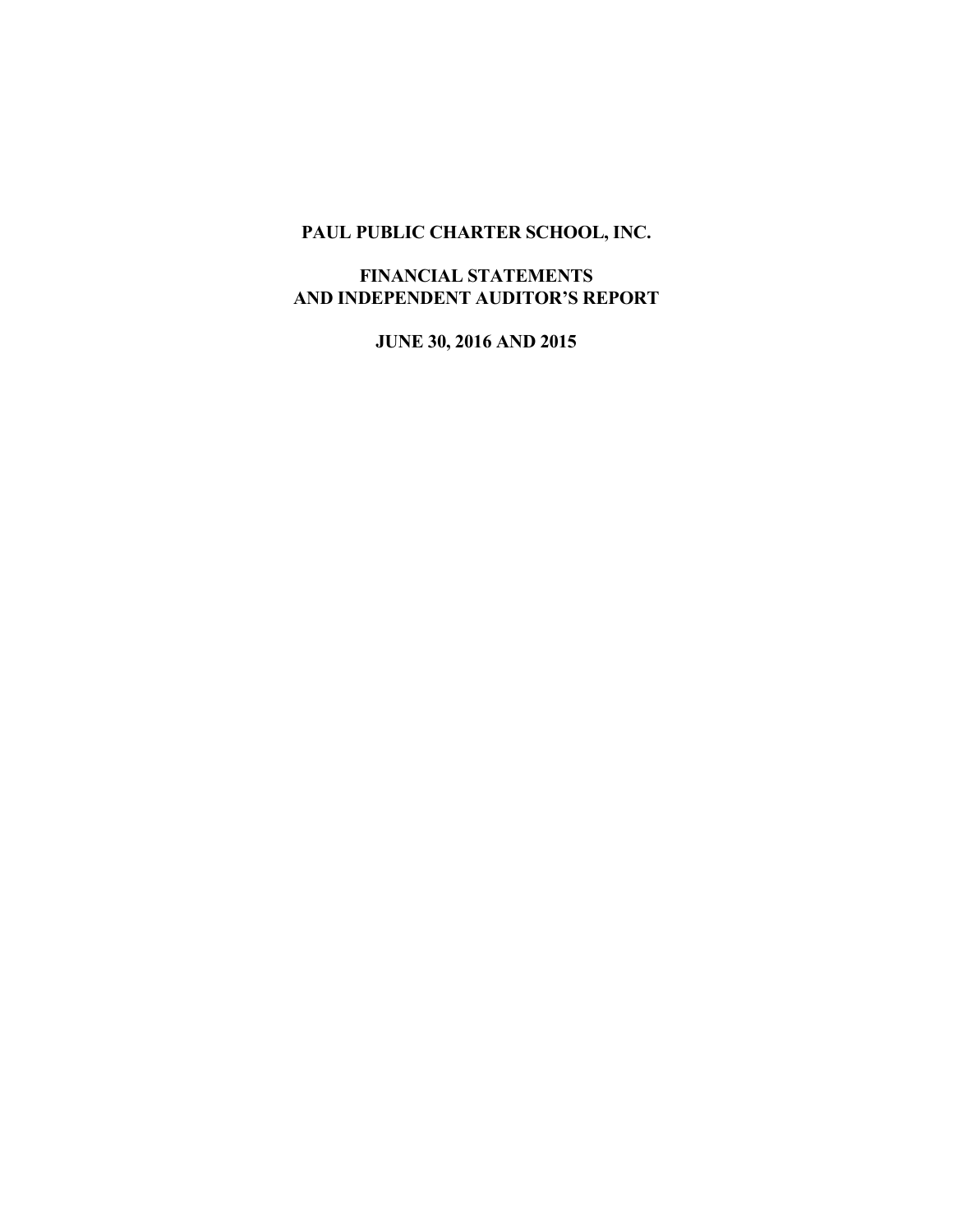## **PAUL PUBLIC CHARTER SCHOOL, INC.**

## **FINANCIAL STATEMENTS AND INDEPENDENT AUDITOR'S REPORT**

**JUNE 30, 2016 AND 2015**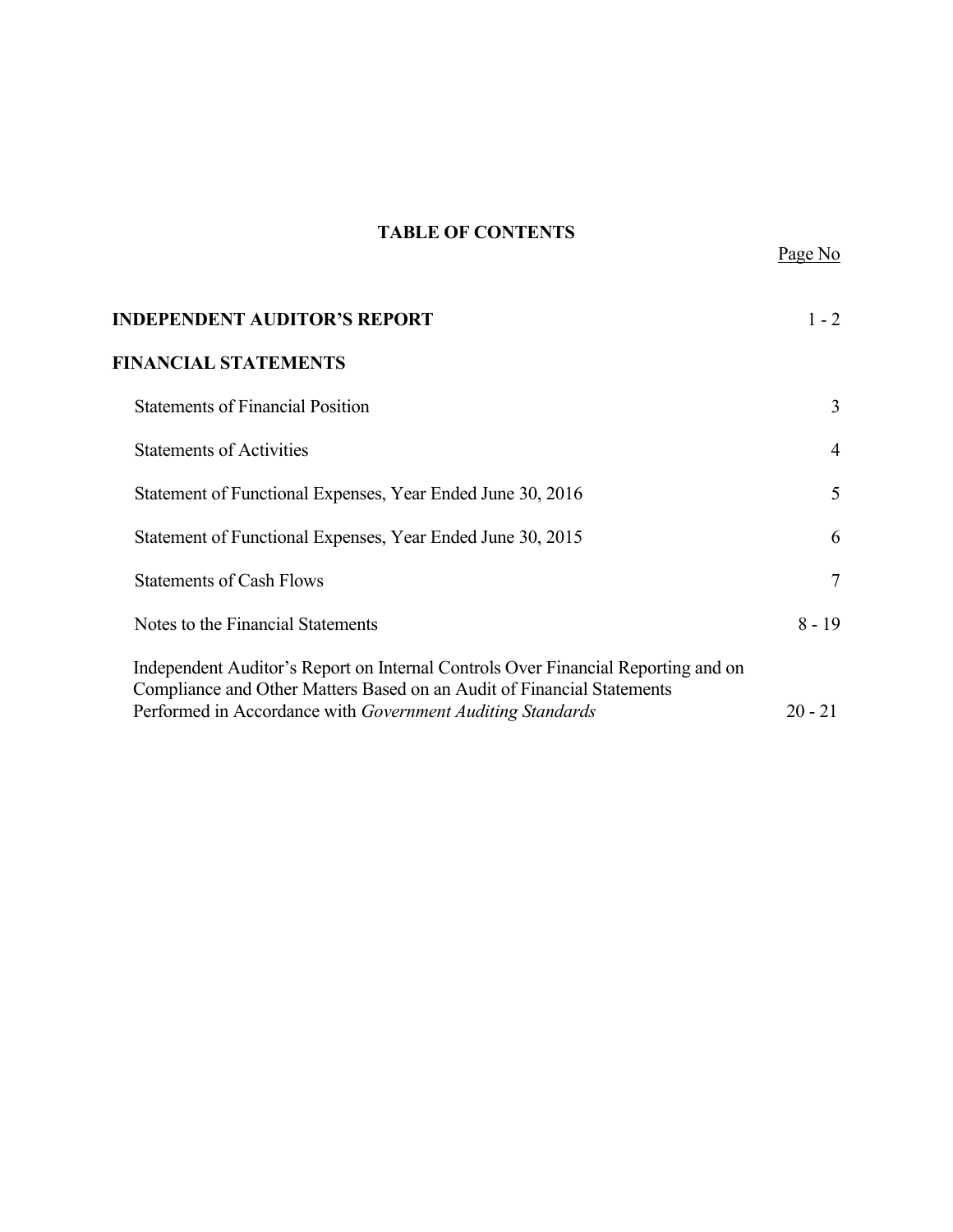## **TABLE OF CONTENTS**

| <b>INDEPENDENT AUDITOR'S REPORT</b>                                                                                                  | $1 - 2$        |
|--------------------------------------------------------------------------------------------------------------------------------------|----------------|
| <b>FINANCIAL STATEMENTS</b>                                                                                                          |                |
| <b>Statements of Financial Position</b>                                                                                              | 3              |
| <b>Statements of Activities</b>                                                                                                      | $\overline{4}$ |
| Statement of Functional Expenses, Year Ended June 30, 2016                                                                           | 5              |
| Statement of Functional Expenses, Year Ended June 30, 2015                                                                           | 6              |
| <b>Statements of Cash Flows</b>                                                                                                      | 7              |
| Notes to the Financial Statements                                                                                                    | $8 - 19$       |
| Independent Auditor's Report on Internal Controls Over Financial Reporting and on                                                    |                |
| Compliance and Other Matters Based on an Audit of Financial Statements<br>Performed in Accordance with Government Auditing Standards | $20 - 21$      |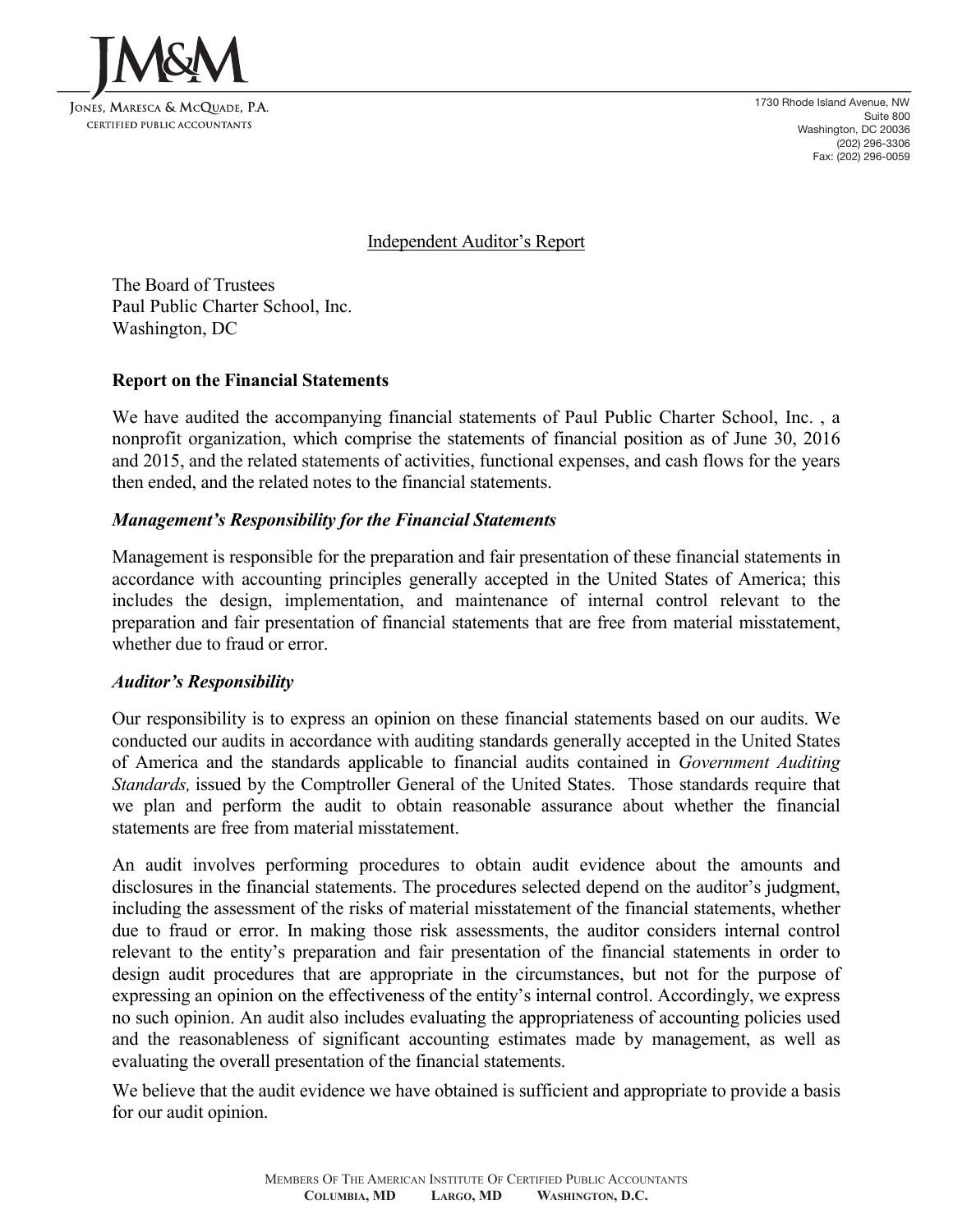

1730 Rhode Island Avenue, NW Suite 800 Washington, DC 20036 (202) 296-3306 Fax: (202) 296-0059

Independent Auditor's Report

The Board of Trustees Paul Public Charter School, Inc. Washington, DC

### **Report on the Financial Statements**

We have audited the accompanying financial statements of Paul Public Charter School, Inc., a nonprofit organization, which comprise the statements of financial position as of June 30, 2016 and 2015, and the related statements of activities, functional expenses, and cash flows for the years then ended, and the related notes to the financial statements.

#### *Management's Responsibility for the Financial Statements*

Management is responsible for the preparation and fair presentation of these financial statements in accordance with accounting principles generally accepted in the United States of America; this includes the design, implementation, and maintenance of internal control relevant to the preparation and fair presentation of financial statements that are free from material misstatement, whether due to fraud or error.

#### *Auditor's Responsibility*

Our responsibility is to express an opinion on these financial statements based on our audits. We conducted our audits in accordance with auditing standards generally accepted in the United States of America and the standards applicable to financial audits contained in *Government Auditing Standards,* issued by the Comptroller General of the United States. Those standards require that we plan and perform the audit to obtain reasonable assurance about whether the financial statements are free from material misstatement.

An audit involves performing procedures to obtain audit evidence about the amounts and disclosures in the financial statements. The procedures selected depend on the auditor's judgment, including the assessment of the risks of material misstatement of the financial statements, whether due to fraud or error. In making those risk assessments, the auditor considers internal control relevant to the entity's preparation and fair presentation of the financial statements in order to design audit procedures that are appropriate in the circumstances, but not for the purpose of expressing an opinion on the effectiveness of the entity's internal control. Accordingly, we express no such opinion. An audit also includes evaluating the appropriateness of accounting policies used and the reasonableness of significant accounting estimates made by management, as well as evaluating the overall presentation of the financial statements.

We believe that the audit evidence we have obtained is sufficient and appropriate to provide a basis for our audit opinion.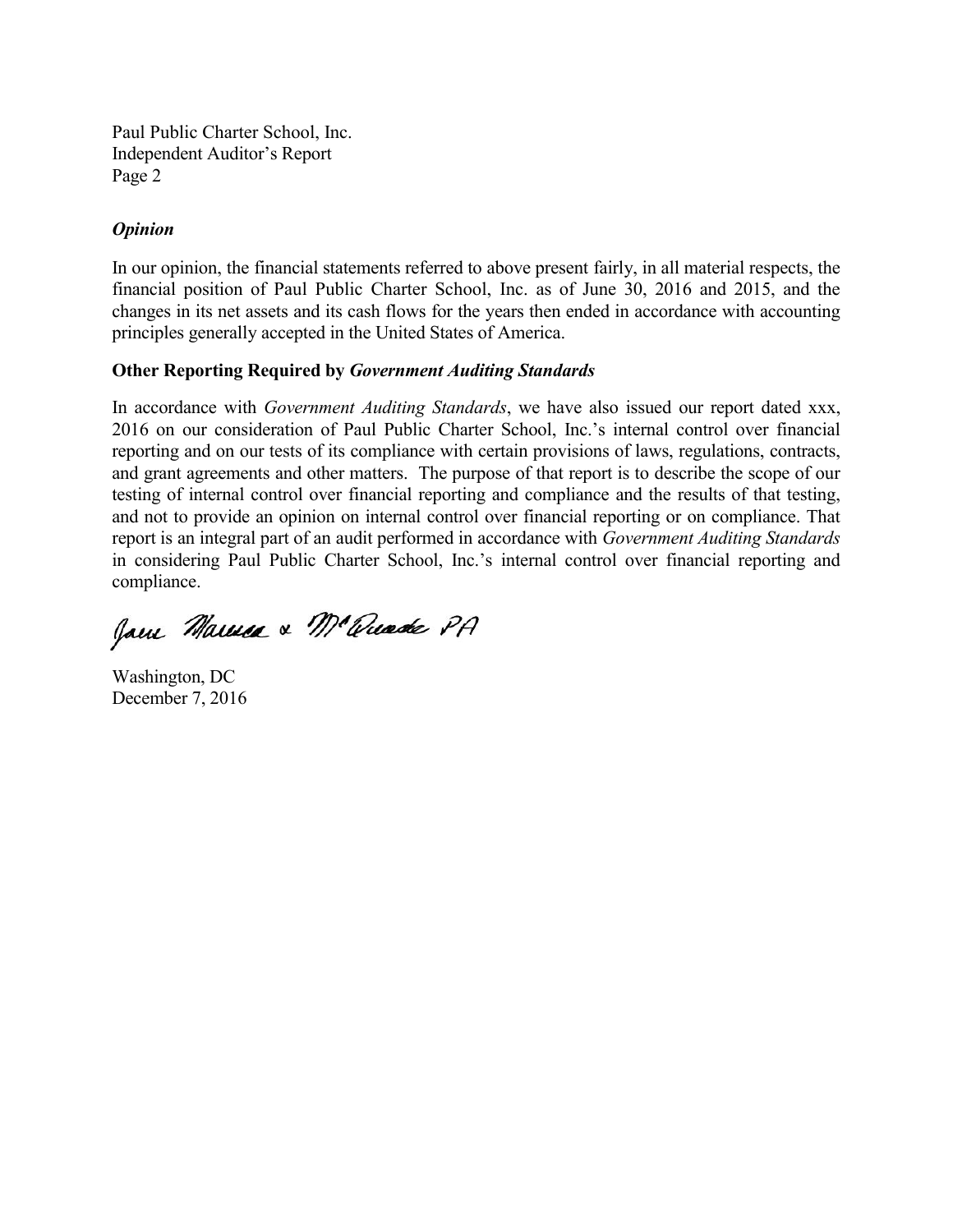Paul Public Charter School, Inc. Independent Auditor's Report Page 2

## *Opinion*

In our opinion, the financial statements referred to above present fairly, in all material respects, the financial position of Paul Public Charter School, Inc. as of June 30, 2016 and 2015, and the changes in its net assets and its cash flows for the years then ended in accordance with accounting principles generally accepted in the United States of America.

## **Other Reporting Required by** *Government Auditing Standards*

In accordance with *Government Auditing Standards*, we have also issued our report dated xxx, 2016 on our consideration of Paul Public Charter School, Inc.'s internal control over financial reporting and on our tests of its compliance with certain provisions of laws, regulations, contracts, and grant agreements and other matters. The purpose of that report is to describe the scope of our testing of internal control over financial reporting and compliance and the results of that testing, and not to provide an opinion on internal control over financial reporting or on compliance. That report is an integral part of an audit performed in accordance with *Government Auditing Standards* in considering Paul Public Charter School, Inc.'s internal control over financial reporting and compliance.

Jam Marsa & Ma Quade PA

Washington, DC December 7, 2016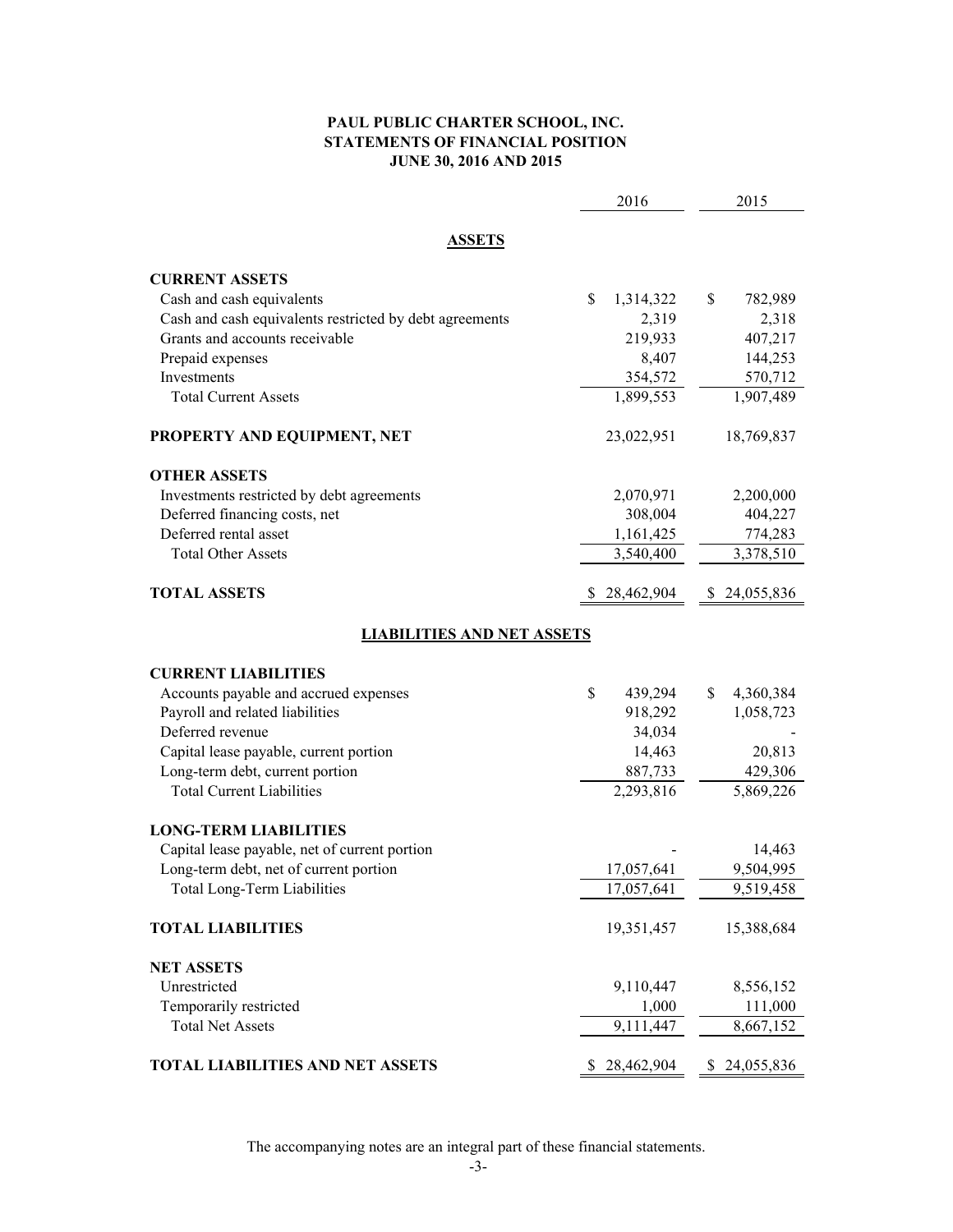#### **JUNE 30, 2016 AND 2015 PAUL PUBLIC CHARTER SCHOOL, INC. STATEMENTS OF FINANCIAL POSITION**

|                                                         | 2016            | 2015            |
|---------------------------------------------------------|-----------------|-----------------|
| <b>ASSETS</b>                                           |                 |                 |
| <b>CURRENT ASSETS</b>                                   |                 |                 |
| Cash and cash equivalents                               | \$<br>1,314,322 | \$<br>782,989   |
| Cash and cash equivalents restricted by debt agreements | 2,319           | 2,318           |
| Grants and accounts receivable                          | 219,933         | 407,217         |
| Prepaid expenses                                        | 8,407           | 144,253         |
| Investments                                             | 354,572         | 570,712         |
| <b>Total Current Assets</b>                             | 1,899,553       | 1,907,489       |
| PROPERTY AND EQUIPMENT, NET                             | 23,022,951      | 18,769,837      |
| <b>OTHER ASSETS</b>                                     |                 |                 |
| Investments restricted by debt agreements               | 2,070,971       | 2,200,000       |
| Deferred financing costs, net                           | 308,004         | 404,227         |
| Deferred rental asset                                   | 1,161,425       | 774,283         |
| <b>Total Other Assets</b>                               | 3,540,400       | 3,378,510       |
| <b>TOTAL ASSETS</b>                                     | \$28,462,904    | \$24,055,836    |
| <b>LIABILITIES AND NET ASSETS</b>                       |                 |                 |
| <b>CURRENT LIABILITIES</b>                              |                 |                 |
| Accounts payable and accrued expenses                   | \$<br>439,294   | \$<br>4,360,384 |
| Payroll and related liabilities                         | 918,292         | 1,058,723       |
| Deferred revenue                                        | 34,034          |                 |
| Capital lease payable, current portion                  | 14,463          | 20,813          |
| Long-term debt, current portion                         | 887,733         | 429,306         |
| <b>Total Current Liabilities</b>                        | 2,293,816       | 5,869,226       |
| <b>LONG-TERM LIABILITIES</b>                            |                 |                 |
| Capital lease payable, net of current portion           |                 | 14,463          |
| Long-term debt, net of current portion                  | 17,057,641      | 9,504,995       |
| Total Long-Term Liabilities                             | 17,057,641      | 9,519,458       |
| <b>TOTAL LIABILITIES</b>                                | 19,351,457      | 15,388,684      |
| <b>NET ASSETS</b>                                       |                 |                 |
| Unrestricted                                            | 9,110,447       | 8,556,152       |
| Temporarily restricted                                  | 1,000           | 111,000         |
| <b>Total Net Assets</b>                                 | 9,111,447       | 8,667,152       |
| <b>TOTAL LIABILITIES AND NET ASSETS</b>                 | \$28,462,904    | \$24,055,836    |

The accompanying notes are an integral part of these financial statements.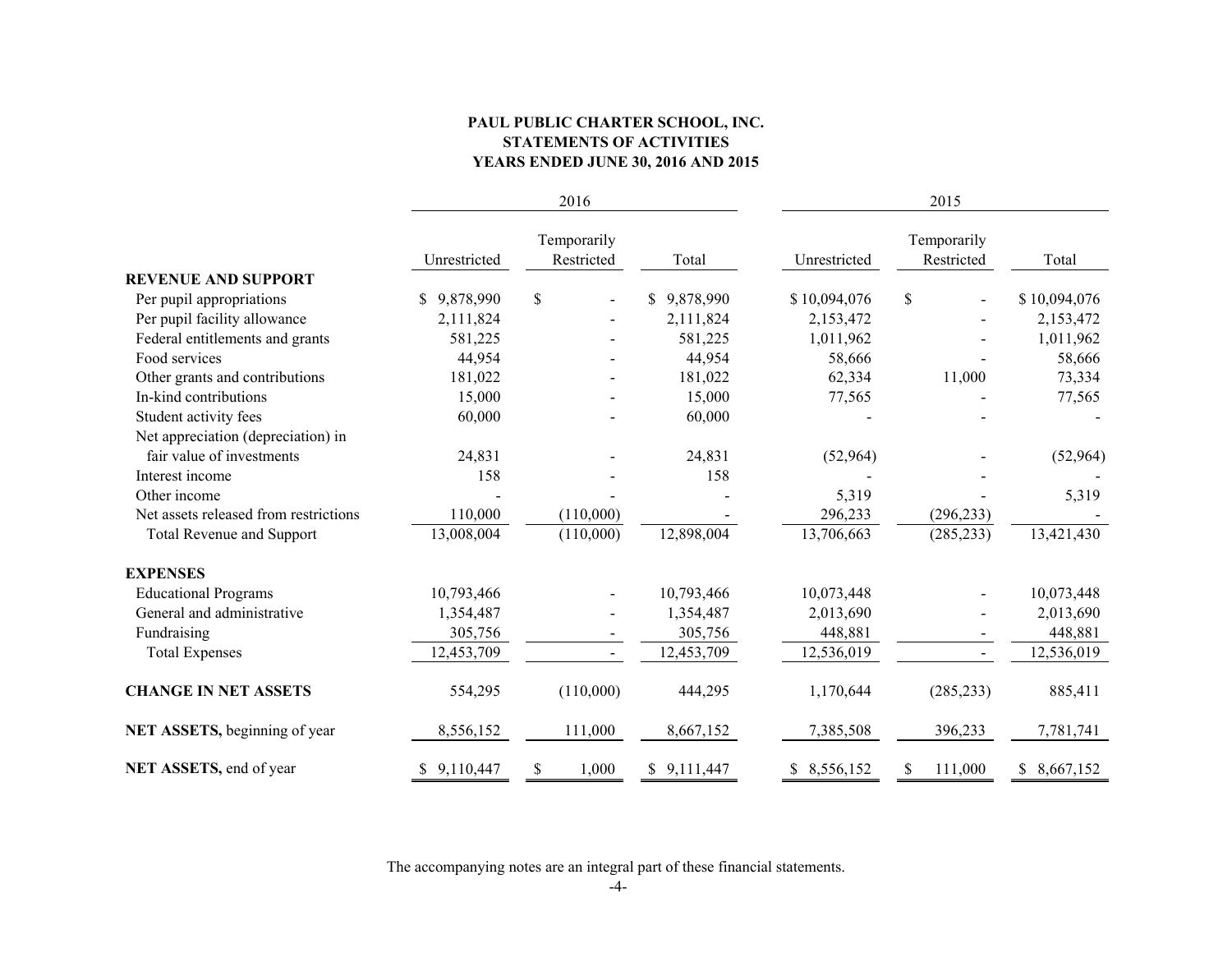#### **PAUL PUBLIC CHARTER SCHOOL, INC. STATEMENTS OF ACTIVITIES YEARS ENDED JUNE 30, 2016 AND 2015**

|                                       |              | 2016                      |             |              |                           |              |
|---------------------------------------|--------------|---------------------------|-------------|--------------|---------------------------|--------------|
|                                       | Unrestricted | Temporarily<br>Restricted | Total       | Unrestricted | Temporarily<br>Restricted | Total        |
| <b>REVENUE AND SUPPORT</b>            |              |                           |             |              |                           |              |
| Per pupil appropriations              | 9,878,990    | \$                        | \$9,878,990 | \$10,094,076 | \$                        | \$10,094,076 |
| Per pupil facility allowance          | 2,111,824    |                           | 2,111,824   | 2,153,472    |                           | 2,153,472    |
| Federal entitlements and grants       | 581,225      |                           | 581,225     | 1,011,962    |                           | 1,011,962    |
| Food services                         | 44,954       |                           | 44,954      | 58,666       |                           | 58,666       |
| Other grants and contributions        | 181,022      |                           | 181,022     | 62,334       | 11,000                    | 73,334       |
| In-kind contributions                 | 15,000       |                           | 15,000      | 77,565       |                           | 77,565       |
| Student activity fees                 | 60,000       |                           | 60,000      |              |                           |              |
| Net appreciation (depreciation) in    |              |                           |             |              |                           |              |
| fair value of investments             | 24,831       |                           | 24,831      | (52,964)     |                           | (52, 964)    |
| Interest income                       | 158          |                           | 158         |              |                           |              |
| Other income                          |              |                           |             | 5,319        |                           | 5,319        |
| Net assets released from restrictions | 110,000      | (110,000)                 |             | 296,233      | (296, 233)                |              |
| Total Revenue and Support             | 13,008,004   | (110,000)                 | 12,898,004  | 13,706,663   | (285, 233)                | 13,421,430   |
| <b>EXPENSES</b>                       |              |                           |             |              |                           |              |
| <b>Educational Programs</b>           | 10,793,466   |                           | 10,793,466  | 10,073,448   |                           | 10,073,448   |
| General and administrative            | 1,354,487    |                           | 1,354,487   | 2,013,690    |                           | 2,013,690    |
| Fundraising                           | 305,756      |                           | 305,756     | 448,881      |                           | 448,881      |
| <b>Total Expenses</b>                 | 12,453,709   |                           | 12,453,709  | 12,536,019   |                           | 12,536,019   |
| <b>CHANGE IN NET ASSETS</b>           | 554,295      | (110,000)                 | 444,295     | 1,170,644    | (285, 233)                | 885,411      |
| NET ASSETS, beginning of year         | 8,556,152    | 111,000                   | 8,667,152   | 7,385,508    | 396,233                   | 7,781,741    |
| NET ASSETS, end of year               | \$9,110,447  | 1,000<br>\$               | \$9,111,447 | \$8,556,152  | 111,000<br>S              | \$8,667,152  |

The accompanying notes are an integral part of these financial statements.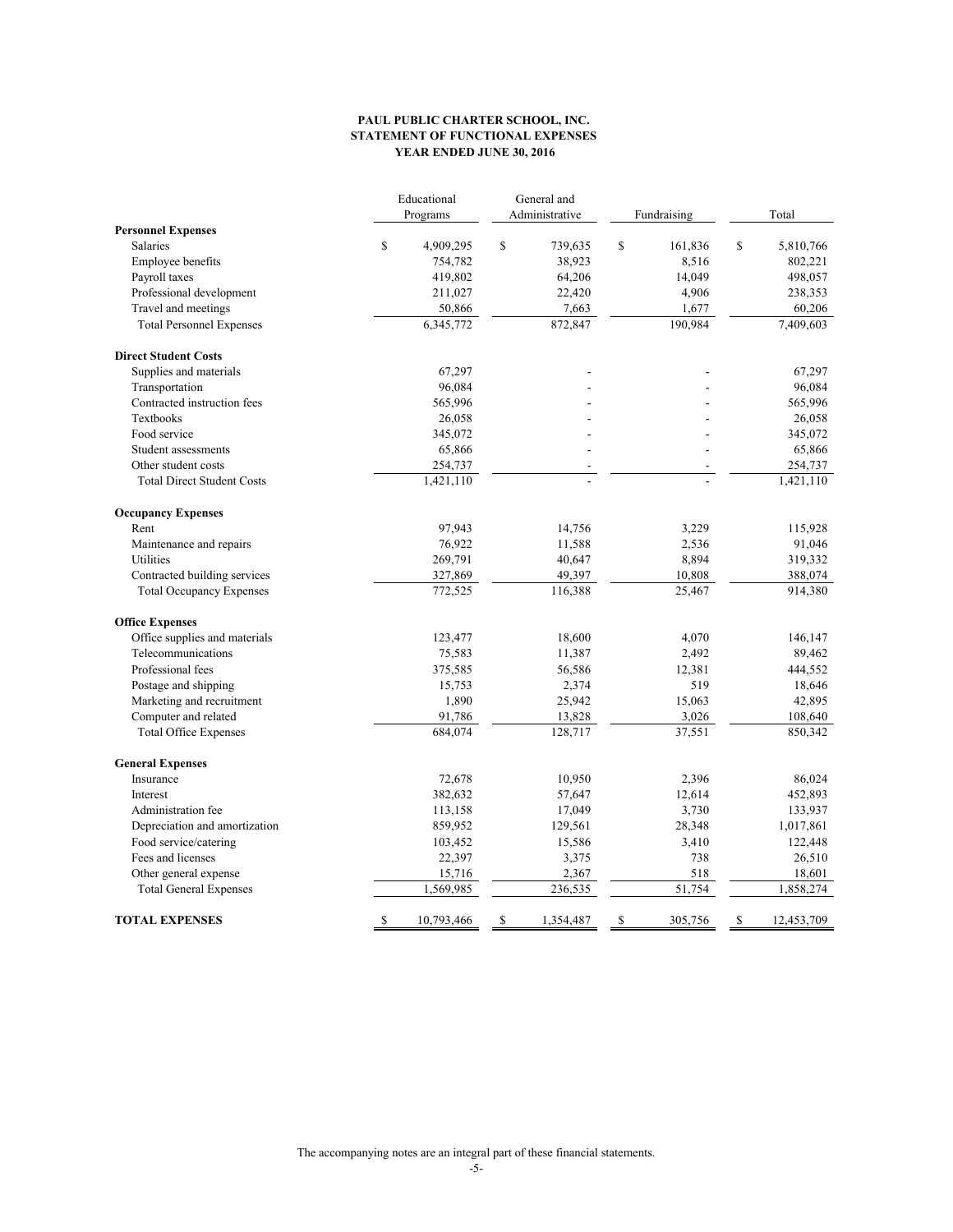#### **PAUL PUBLIC CHARTER SCHOOL, INC. STATEMENT OF FUNCTIONAL EXPENSES YEAR ENDED JUNE 30, 2016**

|                                   | Educational      | General and     |               |                  |
|-----------------------------------|------------------|-----------------|---------------|------------------|
|                                   | Programs         | Administrative  | Fundraising   | Total            |
| <b>Personnel Expenses</b>         |                  |                 |               |                  |
| Salaries                          | \$<br>4,909,295  | \$<br>739,635   | \$<br>161,836 | \$<br>5,810,766  |
| Employee benefits                 | 754,782          | 38,923          | 8,516         | 802,221          |
| Payroll taxes                     | 419,802          | 64,206          | 14,049        | 498,057          |
| Professional development          | 211,027          | 22,420          | 4,906         | 238,353          |
| Travel and meetings               | 50,866           | 7,663           | 1,677         | 60,206           |
| <b>Total Personnel Expenses</b>   | 6,345,772        | 872,847         | 190,984       | 7,409,603        |
| <b>Direct Student Costs</b>       |                  |                 |               |                  |
| Supplies and materials            | 67,297           |                 |               | 67,297           |
| Transportation                    | 96,084           |                 |               | 96,084           |
| Contracted instruction fees       | 565,996          |                 |               | 565,996          |
| Textbooks                         | 26,058           |                 |               | 26,058           |
| Food service                      | 345,072          |                 |               | 345,072          |
| Student assessments               | 65,866           |                 |               | 65,866           |
| Other student costs               | 254,737          |                 |               | 254,737          |
| <b>Total Direct Student Costs</b> | 1,421,110        |                 |               | 1,421,110        |
| <b>Occupancy Expenses</b>         |                  |                 |               |                  |
| Rent                              | 97,943           | 14,756          | 3,229         | 115,928          |
| Maintenance and repairs           | 76,922           | 11,588          | 2,536         | 91,046           |
| Utilities                         | 269,791          | 40,647          | 8,894         | 319,332          |
| Contracted building services      | 327,869          | 49,397          | 10,808        | 388,074          |
| <b>Total Occupancy Expenses</b>   | 772,525          | 116,388         | 25,467        | 914,380          |
| <b>Office Expenses</b>            |                  |                 |               |                  |
| Office supplies and materials     | 123,477          | 18,600          | 4,070         | 146,147          |
| Telecommunications                | 75,583           | 11,387          | 2,492         | 89,462           |
| Professional fees                 | 375,585          | 56,586          | 12,381        | 444,552          |
| Postage and shipping              | 15,753           | 2,374           | 519           | 18,646           |
| Marketing and recruitment         | 1,890            | 25,942          | 15,063        | 42,895           |
| Computer and related              | 91,786           | 13,828          | 3,026         | 108,640          |
| <b>Total Office Expenses</b>      | 684,074          | 128,717         | 37,551        | 850,342          |
| <b>General Expenses</b>           |                  |                 |               |                  |
| Insurance                         | 72,678           | 10,950          | 2,396         | 86,024           |
| Interest                          | 382,632          | 57,647          | 12,614        | 452,893          |
| Administration fee                | 113,158          | 17,049          | 3,730         | 133,937          |
| Depreciation and amortization     | 859,952          | 129,561         | 28,348        | 1,017,861        |
| Food service/catering             | 103,452          | 15,586          | 3,410         | 122,448          |
| Fees and licenses                 | 22,397           | 3,375           | 738           | 26,510           |
| Other general expense             | 15,716           | 2,367           | 518           | 18,601           |
| <b>Total General Expenses</b>     | 1,569,985        | 236,535         | 51,754        | 1,858,274        |
| <b>TOTAL EXPENSES</b>             | \$<br>10,793,466 | \$<br>1,354,487 | \$<br>305,756 | \$<br>12,453,709 |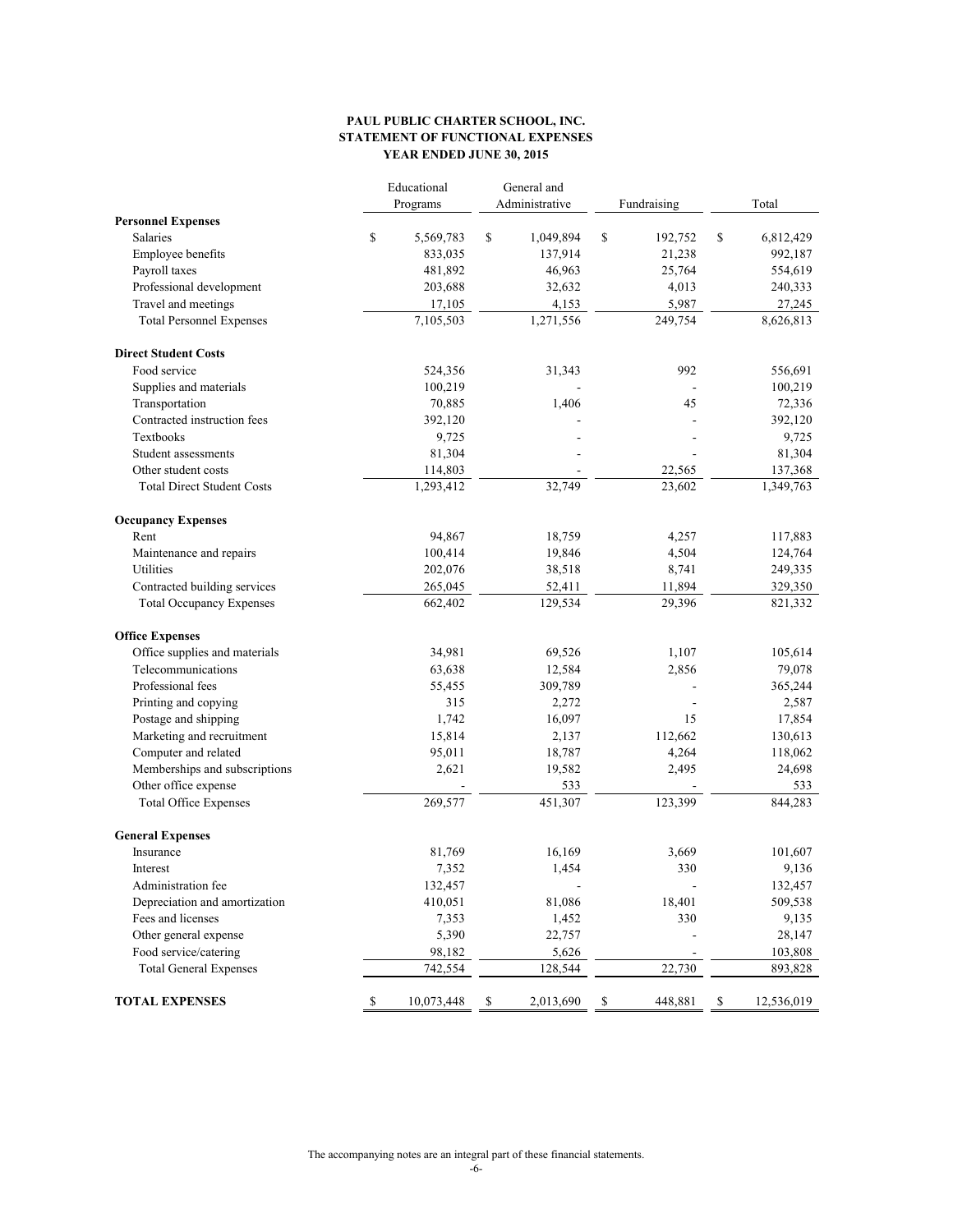#### **PAUL PUBLIC CHARTER SCHOOL, INC. STATEMENT OF FUNCTIONAL EXPENSES YEAR ENDED JUNE 30, 2015**

|                                   |              | Educational |              | General and    |              |             |               |            |
|-----------------------------------|--------------|-------------|--------------|----------------|--------------|-------------|---------------|------------|
|                                   |              | Programs    |              | Administrative |              | Fundraising |               | Total      |
| <b>Personnel Expenses</b>         |              |             |              |                |              |             |               |            |
| Salaries                          | \$           | 5,569,783   | \$           | 1,049,894      | \$           | 192,752     | \$            | 6,812,429  |
| Employee benefits                 |              | 833,035     |              | 137,914        |              | 21,238      |               | 992,187    |
| Payroll taxes                     |              | 481,892     |              | 46,963         |              | 25,764      |               | 554,619    |
| Professional development          |              | 203,688     |              | 32,632         |              | 4,013       |               | 240,333    |
| Travel and meetings               |              | 17,105      |              | 4,153          |              | 5,987       |               | 27,245     |
| <b>Total Personnel Expenses</b>   |              | 7,105,503   |              | 1,271,556      |              | 249,754     |               | 8,626,813  |
| <b>Direct Student Costs</b>       |              |             |              |                |              |             |               |            |
| Food service                      |              | 524,356     |              | 31,343         |              | 992         |               | 556,691    |
| Supplies and materials            |              | 100,219     |              |                |              |             |               | 100,219    |
| Transportation                    |              | 70,885      |              | 1,406          |              | 45          |               | 72,336     |
| Contracted instruction fees       |              | 392,120     |              |                |              |             |               | 392,120    |
| Textbooks                         |              | 9,725       |              |                |              |             |               | 9,725      |
| Student assessments               |              | 81,304      |              |                |              |             |               | 81,304     |
| Other student costs               |              | 114,803     |              |                |              | 22,565      |               | 137,368    |
| <b>Total Direct Student Costs</b> |              | 1,293,412   |              | 32,749         |              | 23,602      |               | 1,349,763  |
| <b>Occupancy Expenses</b>         |              |             |              |                |              |             |               |            |
| Rent                              |              | 94,867      |              | 18,759         |              | 4,257       |               | 117,883    |
| Maintenance and repairs           |              | 100,414     |              | 19,846         |              | 4,504       |               | 124,764    |
| Utilities                         |              | 202,076     |              | 38,518         |              | 8,741       |               | 249,335    |
| Contracted building services      |              | 265,045     |              | 52,411         |              | 11,894      |               | 329,350    |
| <b>Total Occupancy Expenses</b>   |              | 662,402     |              | 129,534        |              | 29,396      |               | 821,332    |
| <b>Office Expenses</b>            |              |             |              |                |              |             |               |            |
| Office supplies and materials     |              | 34,981      |              | 69,526         |              | 1,107       |               | 105,614    |
| Telecommunications                |              | 63,638      |              | 12,584         |              | 2,856       |               | 79,078     |
| Professional fees                 |              | 55,455      |              | 309,789        |              |             |               | 365,244    |
| Printing and copying              |              | 315         |              | 2,272          |              |             |               | 2,587      |
| Postage and shipping              |              | 1,742       |              | 16,097         |              | 15          |               | 17,854     |
| Marketing and recruitment         |              | 15,814      |              | 2,137          |              | 112,662     |               | 130,613    |
| Computer and related              |              | 95,011      |              | 18,787         |              | 4,264       |               | 118,062    |
| Memberships and subscriptions     |              | 2,621       |              | 19,582         |              | 2,495       |               | 24,698     |
| Other office expense              |              |             |              | 533            |              |             |               | 533        |
| <b>Total Office Expenses</b>      |              | 269,577     |              | 451,307        |              | 123,399     |               | 844,283    |
| <b>General Expenses</b>           |              |             |              |                |              |             |               |            |
| Insurance                         |              | 81,769      |              | 16,169         |              | 3,669       |               | 101,607    |
| Interest                          |              | 7,352       |              | 1,454          |              | 330         |               | 9,136      |
| Administration fee                |              | 132,457     |              |                |              |             |               | 132,457    |
| Depreciation and amortization     |              | 410,051     |              | 81,086         |              | 18,401      |               | 509,538    |
| Fees and licenses                 |              | 7,353       |              | 1,452          |              | 330         |               | 9,135      |
| Other general expense             |              | 5,390       |              | 22,757         |              |             |               | 28,147     |
| Food service/catering             |              | 98,182      |              | 5,626          |              |             |               | 103,808    |
| <b>Total General Expenses</b>     |              | 742,554     |              | 128,544        |              | 22,730      |               | 893,828    |
| <b>TOTAL EXPENSES</b>             | $\mathbb{S}$ | 10,073,448  | $\mathbb{S}$ | 2,013,690      | $\mathbb{S}$ | 448,881     | ${\mathbb S}$ | 12,536,019 |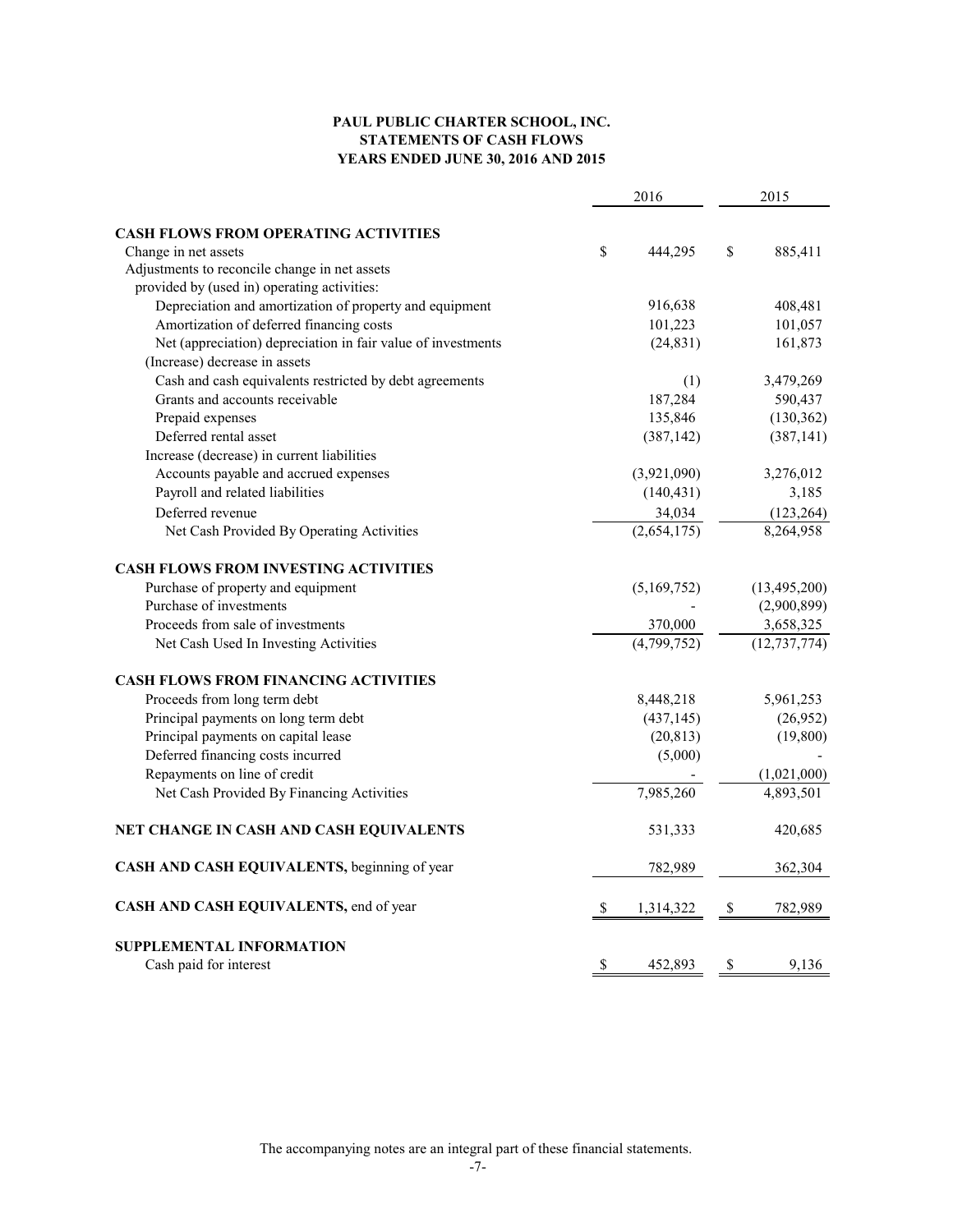#### **PAUL PUBLIC CHARTER SCHOOL, INC. STATEMENTS OF CASH FLOWS YEARS ENDED JUNE 30, 2016 AND 2015**

|                                                                     |              | 2016        | 2015           |
|---------------------------------------------------------------------|--------------|-------------|----------------|
|                                                                     |              |             |                |
| <b>CASH FLOWS FROM OPERATING ACTIVITIES</b><br>Change in net assets | \$           | 444,295     | \$<br>885,411  |
| Adjustments to reconcile change in net assets                       |              |             |                |
| provided by (used in) operating activities:                         |              |             |                |
| Depreciation and amortization of property and equipment             |              | 916,638     | 408,481        |
| Amortization of deferred financing costs                            |              | 101,223     | 101,057        |
| Net (appreciation) depreciation in fair value of investments        |              | (24, 831)   | 161,873        |
| (Increase) decrease in assets                                       |              |             |                |
| Cash and cash equivalents restricted by debt agreements             |              | (1)         | 3,479,269      |
| Grants and accounts receivable                                      |              | 187,284     | 590,437        |
| Prepaid expenses                                                    |              | 135,846     | (130, 362)     |
| Deferred rental asset                                               |              | (387, 142)  | (387, 141)     |
| Increase (decrease) in current liabilities                          |              |             |                |
| Accounts payable and accrued expenses                               |              | (3,921,090) | 3,276,012      |
| Payroll and related liabilities                                     |              | (140, 431)  | 3,185          |
| Deferred revenue                                                    |              | 34,034      | (123, 264)     |
| Net Cash Provided By Operating Activities                           |              | (2,654,175) | 8,264,958      |
|                                                                     |              |             |                |
| <b>CASH FLOWS FROM INVESTING ACTIVITIES</b>                         |              |             |                |
| Purchase of property and equipment                                  |              | (5,169,752) | (13, 495, 200) |
| Purchase of investments                                             |              |             | (2,900,899)    |
| Proceeds from sale of investments                                   |              | 370,000     | 3,658,325      |
| Net Cash Used In Investing Activities                               |              | (4,799,752) | (12, 737, 774) |
| <b>CASH FLOWS FROM FINANCING ACTIVITIES</b>                         |              |             |                |
| Proceeds from long term debt                                        |              | 8,448,218   | 5,961,253      |
| Principal payments on long term debt                                |              | (437, 145)  | (26,952)       |
| Principal payments on capital lease                                 |              | (20, 813)   | (19, 800)      |
| Deferred financing costs incurred                                   |              | (5,000)     |                |
| Repayments on line of credit                                        |              |             | (1,021,000)    |
| Net Cash Provided By Financing Activities                           |              | 7,985,260   | 4,893,501      |
| NET CHANGE IN CASH AND CASH EQUIVALENTS                             |              | 531,333     | 420,685        |
| CASH AND CASH EQUIVALENTS, beginning of year                        |              | 782,989     | 362,304        |
| CASH AND CASH EQUIVALENTS, end of year                              | \$           | 1,314,322   | \$<br>782,989  |
| <b>SUPPLEMENTAL INFORMATION</b>                                     |              |             |                |
| Cash paid for interest                                              | $\mathbb{S}$ | 452,893     | \$<br>9,136    |

The accompanying notes are an integral part of these financial statements.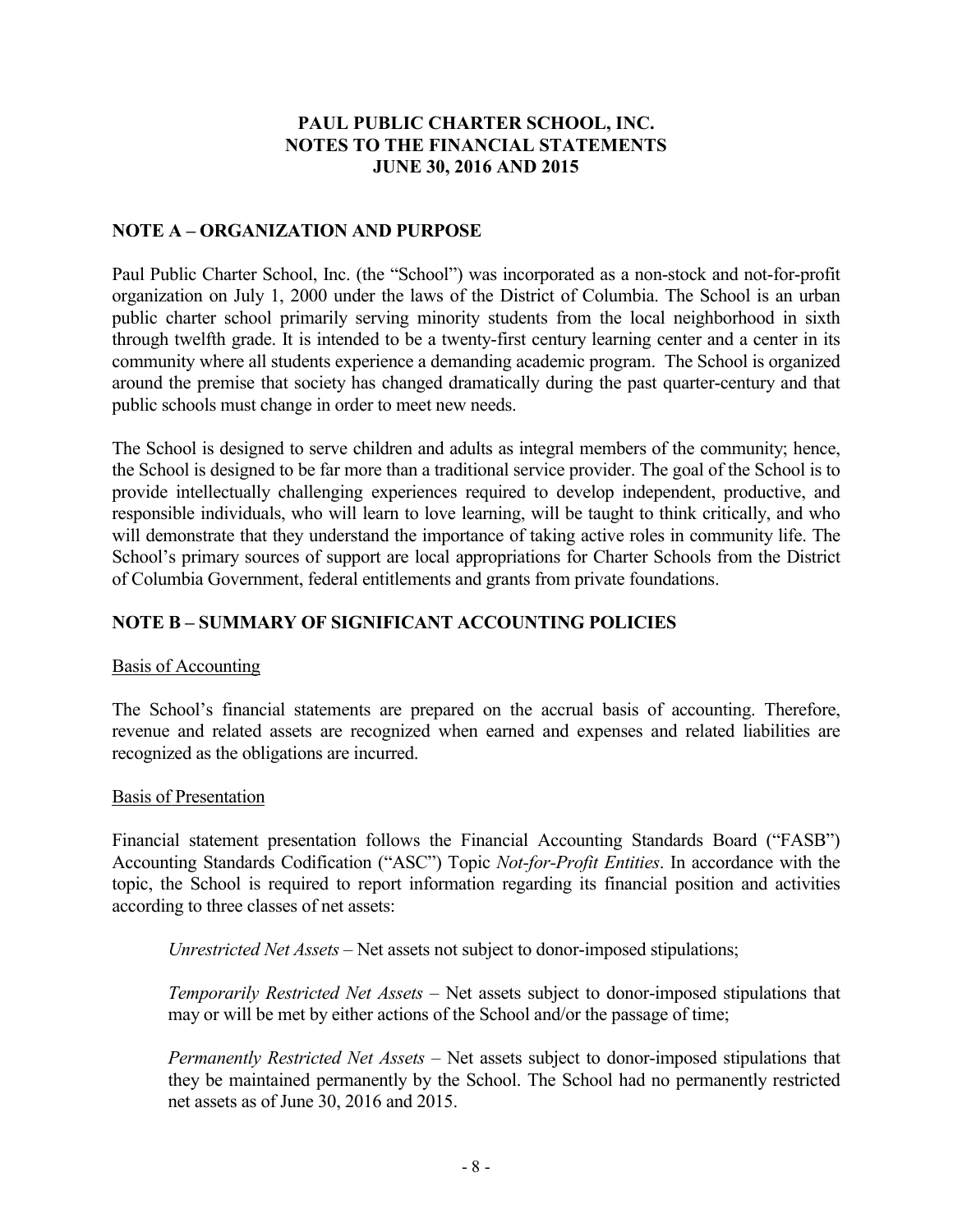## **NOTE A – ORGANIZATION AND PURPOSE**

Paul Public Charter School, Inc. (the "School") was incorporated as a non-stock and not-for-profit organization on July 1, 2000 under the laws of the District of Columbia. The School is an urban public charter school primarily serving minority students from the local neighborhood in sixth through twelfth grade. It is intended to be a twenty-first century learning center and a center in its community where all students experience a demanding academic program. The School is organized around the premise that society has changed dramatically during the past quarter-century and that public schools must change in order to meet new needs.

The School is designed to serve children and adults as integral members of the community; hence, the School is designed to be far more than a traditional service provider. The goal of the School is to provide intellectually challenging experiences required to develop independent, productive, and responsible individuals, who will learn to love learning, will be taught to think critically, and who will demonstrate that they understand the importance of taking active roles in community life. The School's primary sources of support are local appropriations for Charter Schools from the District of Columbia Government, federal entitlements and grants from private foundations.

## **NOTE B – SUMMARY OF SIGNIFICANT ACCOUNTING POLICIES**

## Basis of Accounting

The School's financial statements are prepared on the accrual basis of accounting. Therefore, revenue and related assets are recognized when earned and expenses and related liabilities are recognized as the obligations are incurred.

#### Basis of Presentation

Financial statement presentation follows the Financial Accounting Standards Board ("FASB") Accounting Standards Codification ("ASC") Topic *Not-for-Profit Entities*. In accordance with the topic, the School is required to report information regarding its financial position and activities according to three classes of net assets:

*Unrestricted Net Assets* – Net assets not subject to donor-imposed stipulations;

*Temporarily Restricted Net Assets* – Net assets subject to donor-imposed stipulations that may or will be met by either actions of the School and/or the passage of time;

*Permanently Restricted Net Assets* – Net assets subject to donor-imposed stipulations that they be maintained permanently by the School. The School had no permanently restricted net assets as of June 30, 2016 and 2015.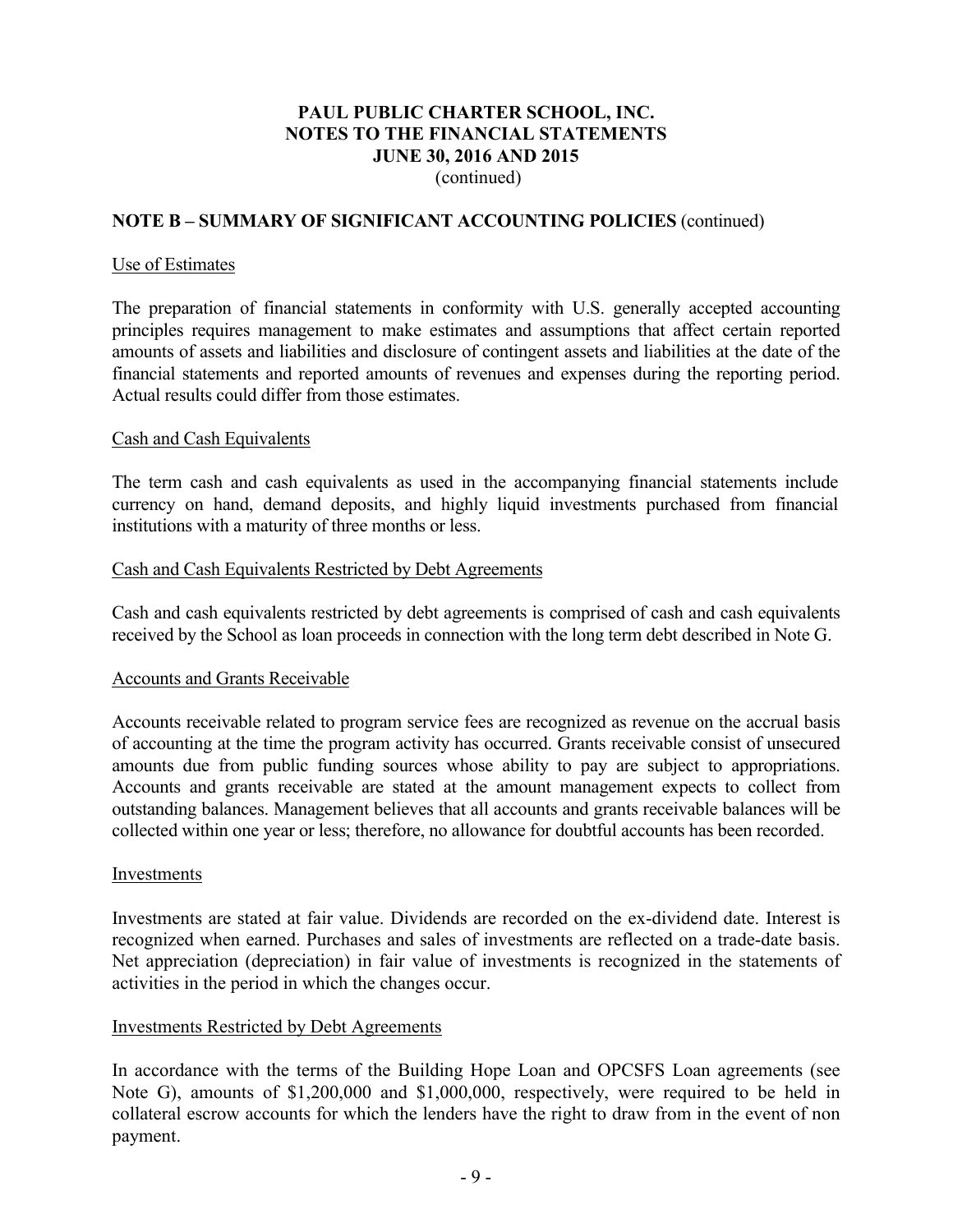(continued)

### **NOTE B – SUMMARY OF SIGNIFICANT ACCOUNTING POLICIES** (continued)

#### Use of Estimates

The preparation of financial statements in conformity with U.S. generally accepted accounting principles requires management to make estimates and assumptions that affect certain reported amounts of assets and liabilities and disclosure of contingent assets and liabilities at the date of the financial statements and reported amounts of revenues and expenses during the reporting period. Actual results could differ from those estimates.

#### Cash and Cash Equivalents

The term cash and cash equivalents as used in the accompanying financial statements include currency on hand, demand deposits, and highly liquid investments purchased from financial institutions with a maturity of three months or less.

#### Cash and Cash Equivalents Restricted by Debt Agreements

Cash and cash equivalents restricted by debt agreements is comprised of cash and cash equivalents received by the School as loan proceeds in connection with the long term debt described in Note G.

#### Accounts and Grants Receivable

Accounts receivable related to program service fees are recognized as revenue on the accrual basis of accounting at the time the program activity has occurred. Grants receivable consist of unsecured amounts due from public funding sources whose ability to pay are subject to appropriations. Accounts and grants receivable are stated at the amount management expects to collect from outstanding balances. Management believes that all accounts and grants receivable balances will be collected within one year or less; therefore, no allowance for doubtful accounts has been recorded.

#### Investments

Investments are stated at fair value. Dividends are recorded on the ex-dividend date. Interest is recognized when earned. Purchases and sales of investments are reflected on a trade-date basis. Net appreciation (depreciation) in fair value of investments is recognized in the statements of activities in the period in which the changes occur.

#### Investments Restricted by Debt Agreements

In accordance with the terms of the Building Hope Loan and OPCSFS Loan agreements (see Note G), amounts of \$1,200,000 and \$1,000,000, respectively, were required to be held in collateral escrow accounts for which the lenders have the right to draw from in the event of non payment.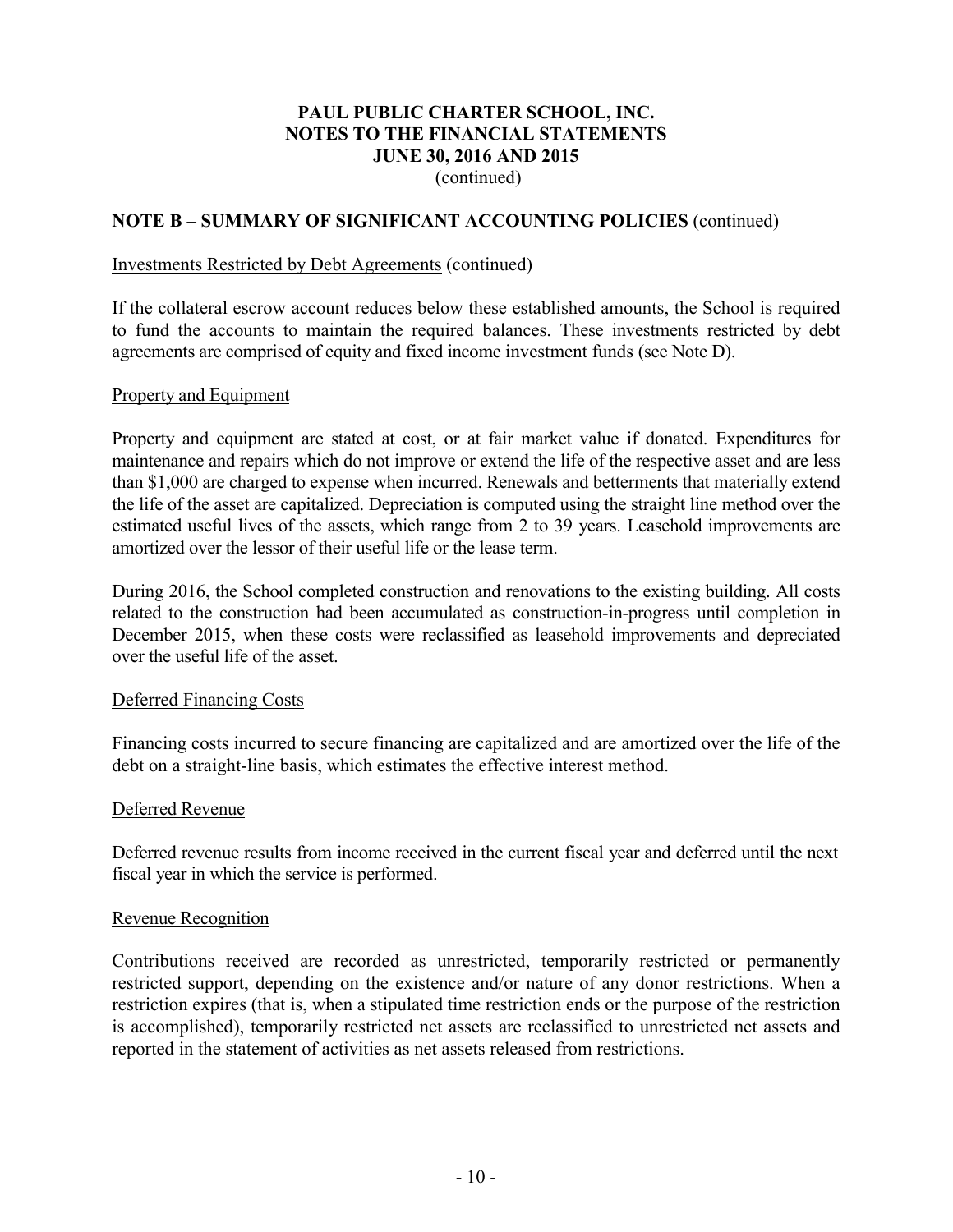(continued)

## **NOTE B – SUMMARY OF SIGNIFICANT ACCOUNTING POLICIES** (continued)

#### Investments Restricted by Debt Agreements (continued)

If the collateral escrow account reduces below these established amounts, the School is required to fund the accounts to maintain the required balances. These investments restricted by debt agreements are comprised of equity and fixed income investment funds (see Note D).

#### Property and Equipment

Property and equipment are stated at cost, or at fair market value if donated. Expenditures for maintenance and repairs which do not improve or extend the life of the respective asset and are less than \$1,000 are charged to expense when incurred. Renewals and betterments that materially extend the life of the asset are capitalized. Depreciation is computed using the straight line method over the estimated useful lives of the assets, which range from 2 to 39 years. Leasehold improvements are amortized over the lessor of their useful life or the lease term.

During 2016, the School completed construction and renovations to the existing building. All costs related to the construction had been accumulated as construction-in-progress until completion in December 2015, when these costs were reclassified as leasehold improvements and depreciated over the useful life of the asset.

#### Deferred Financing Costs

Financing costs incurred to secure financing are capitalized and are amortized over the life of the debt on a straight-line basis, which estimates the effective interest method.

#### Deferred Revenue

Deferred revenue results from income received in the current fiscal year and deferred until the next fiscal year in which the service is performed.

#### Revenue Recognition

Contributions received are recorded as unrestricted, temporarily restricted or permanently restricted support, depending on the existence and/or nature of any donor restrictions. When a restriction expires (that is, when a stipulated time restriction ends or the purpose of the restriction is accomplished), temporarily restricted net assets are reclassified to unrestricted net assets and reported in the statement of activities as net assets released from restrictions.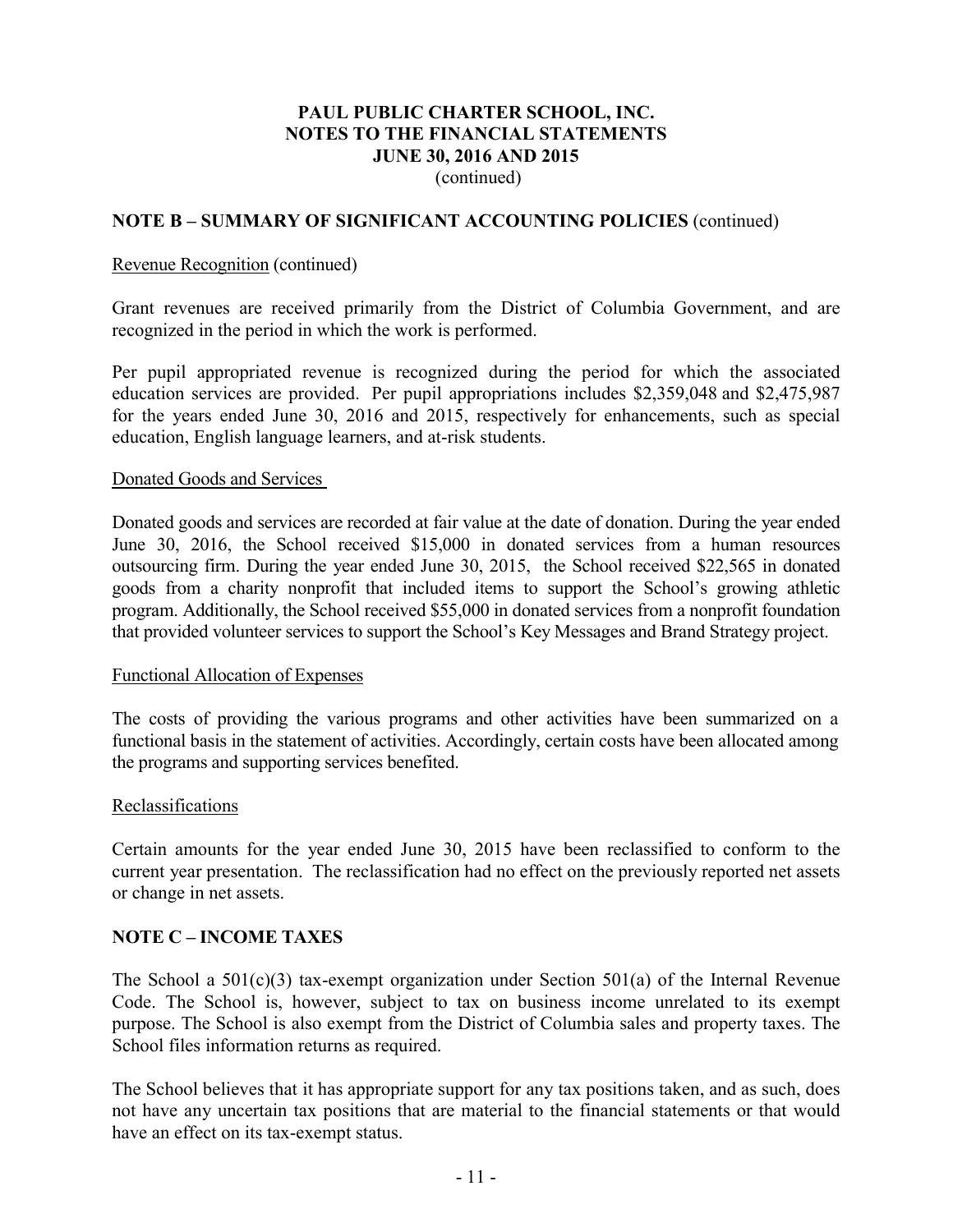(continued)

#### **NOTE B – SUMMARY OF SIGNIFICANT ACCOUNTING POLICIES** (continued)

#### Revenue Recognition (continued)

Grant revenues are received primarily from the District of Columbia Government, and are recognized in the period in which the work is performed.

Per pupil appropriated revenue is recognized during the period for which the associated education services are provided. Per pupil appropriations includes \$2,359,048 and \$2,475,987 for the years ended June 30, 2016 and 2015, respectively for enhancements, such as special education, English language learners, and at-risk students.

#### Donated Goods and Services

Donated goods and services are recorded at fair value at the date of donation. During the year ended June 30, 2016, the School received \$15,000 in donated services from a human resources outsourcing firm. During the year ended June 30, 2015, the School received \$22,565 in donated goods from a charity nonprofit that included items to support the School's growing athletic program. Additionally, the School received \$55,000 in donated services from a nonprofit foundation that provided volunteer services to support the School's Key Messages and Brand Strategy project.

#### Functional Allocation of Expenses

The costs of providing the various programs and other activities have been summarized on a functional basis in the statement of activities. Accordingly, certain costs have been allocated among the programs and supporting services benefited.

#### Reclassifications

Certain amounts for the year ended June 30, 2015 have been reclassified to conform to the current year presentation. The reclassification had no effect on the previously reported net assets or change in net assets.

#### **NOTE C – INCOME TAXES**

The School a 501(c)(3) tax-exempt organization under Section 501(a) of the Internal Revenue Code. The School is, however, subject to tax on business income unrelated to its exempt purpose. The School is also exempt from the District of Columbia sales and property taxes. The School files information returns as required.

The School believes that it has appropriate support for any tax positions taken, and as such, does not have any uncertain tax positions that are material to the financial statements or that would have an effect on its tax-exempt status.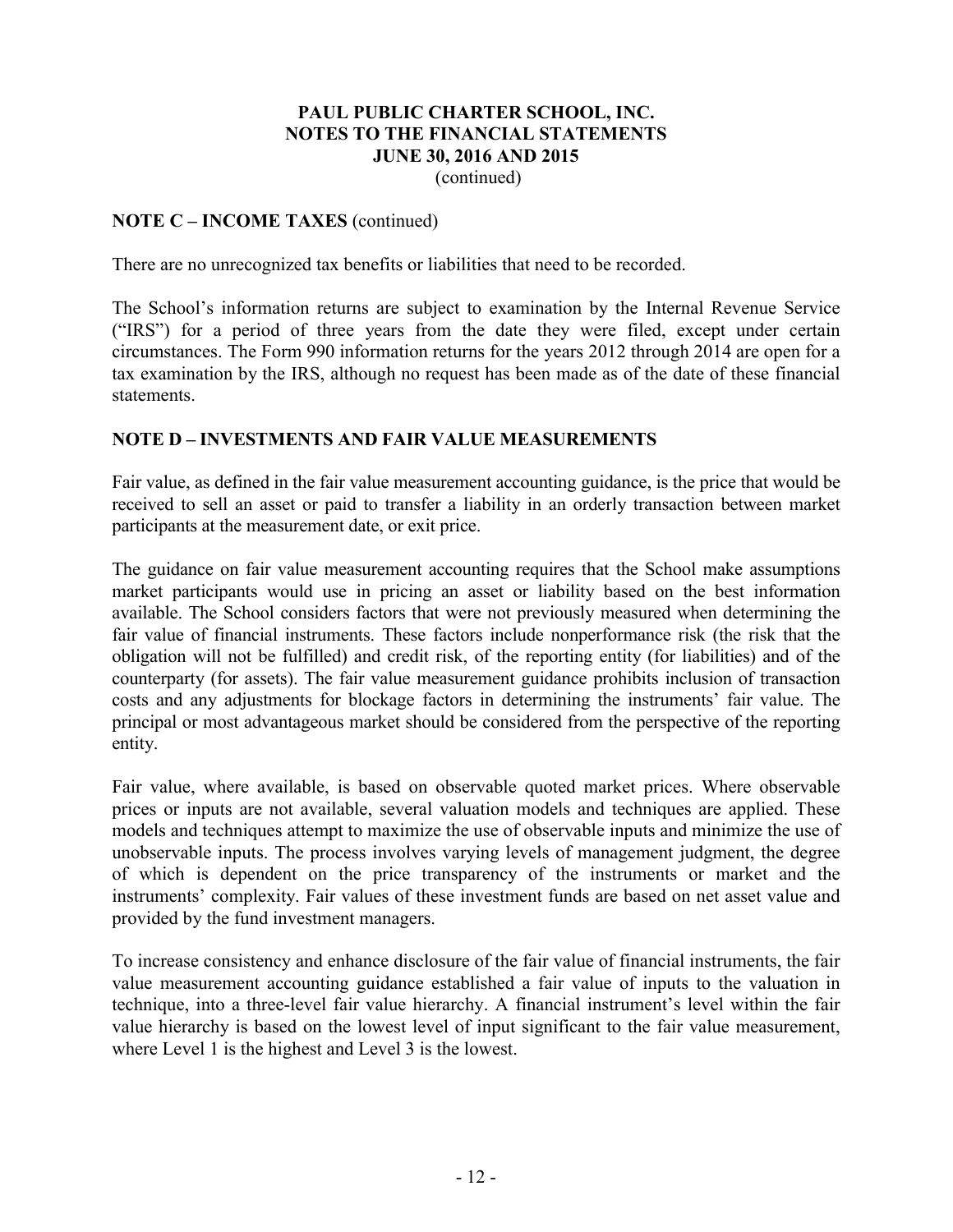(continued)

### **NOTE C – INCOME TAXES** (continued)

There are no unrecognized tax benefits or liabilities that need to be recorded.

The School's information returns are subject to examination by the Internal Revenue Service ("IRS") for a period of three years from the date they were filed, except under certain circumstances. The Form 990 information returns for the years 2012 through 2014 are open for a tax examination by the IRS, although no request has been made as of the date of these financial statements.

### **NOTE D – INVESTMENTS AND FAIR VALUE MEASUREMENTS**

Fair value, as defined in the fair value measurement accounting guidance, is the price that would be received to sell an asset or paid to transfer a liability in an orderly transaction between market participants at the measurement date, or exit price.

The guidance on fair value measurement accounting requires that the School make assumptions market participants would use in pricing an asset or liability based on the best information available. The School considers factors that were not previously measured when determining the fair value of financial instruments. These factors include nonperformance risk (the risk that the obligation will not be fulfilled) and credit risk, of the reporting entity (for liabilities) and of the counterparty (for assets). The fair value measurement guidance prohibits inclusion of transaction costs and any adjustments for blockage factors in determining the instruments' fair value. The principal or most advantageous market should be considered from the perspective of the reporting entity.

Fair value, where available, is based on observable quoted market prices. Where observable prices or inputs are not available, several valuation models and techniques are applied. These models and techniques attempt to maximize the use of observable inputs and minimize the use of unobservable inputs. The process involves varying levels of management judgment, the degree of which is dependent on the price transparency of the instruments or market and the instruments' complexity. Fair values of these investment funds are based on net asset value and provided by the fund investment managers.

To increase consistency and enhance disclosure of the fair value of financial instruments, the fair value measurement accounting guidance established a fair value of inputs to the valuation in technique, into a three-level fair value hierarchy. A financial instrument's level within the fair value hierarchy is based on the lowest level of input significant to the fair value measurement, where Level 1 is the highest and Level 3 is the lowest.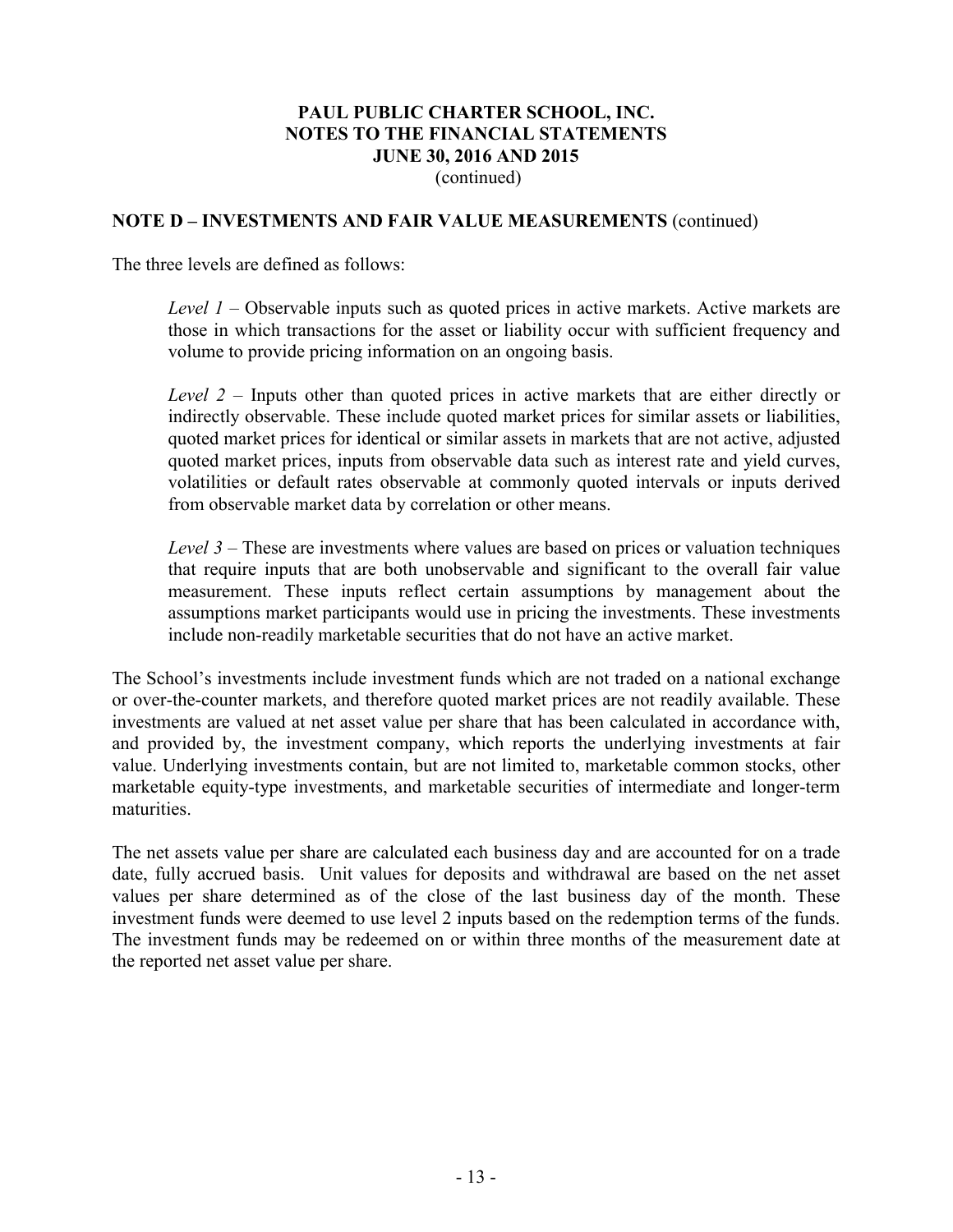(continued)

### **NOTE D – INVESTMENTS AND FAIR VALUE MEASUREMENTS** (continued)

The three levels are defined as follows:

*Level 1* – Observable inputs such as quoted prices in active markets. Active markets are those in which transactions for the asset or liability occur with sufficient frequency and volume to provide pricing information on an ongoing basis.

*Level 2* – Inputs other than quoted prices in active markets that are either directly or indirectly observable. These include quoted market prices for similar assets or liabilities, quoted market prices for identical or similar assets in markets that are not active, adjusted quoted market prices, inputs from observable data such as interest rate and yield curves, volatilities or default rates observable at commonly quoted intervals or inputs derived from observable market data by correlation or other means.

*Level 3* – These are investments where values are based on prices or valuation techniques that require inputs that are both unobservable and significant to the overall fair value measurement. These inputs reflect certain assumptions by management about the assumptions market participants would use in pricing the investments. These investments include non-readily marketable securities that do not have an active market.

The School's investments include investment funds which are not traded on a national exchange or over-the-counter markets, and therefore quoted market prices are not readily available. These investments are valued at net asset value per share that has been calculated in accordance with, and provided by, the investment company, which reports the underlying investments at fair value. Underlying investments contain, but are not limited to, marketable common stocks, other marketable equity-type investments, and marketable securities of intermediate and longer-term maturities.

The net assets value per share are calculated each business day and are accounted for on a trade date, fully accrued basis. Unit values for deposits and withdrawal are based on the net asset values per share determined as of the close of the last business day of the month. These investment funds were deemed to use level 2 inputs based on the redemption terms of the funds. The investment funds may be redeemed on or within three months of the measurement date at the reported net asset value per share.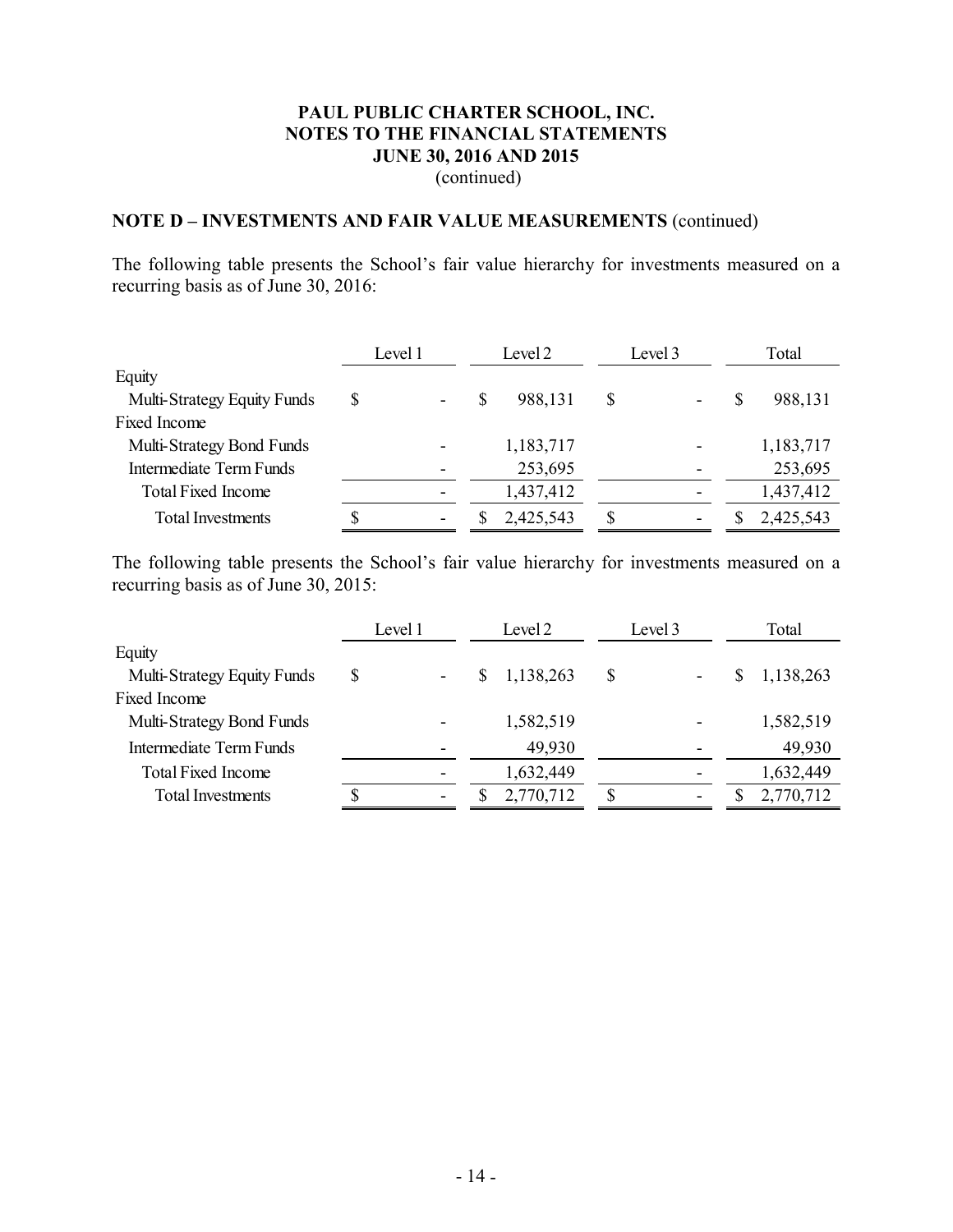(continued)

## **NOTE D – INVESTMENTS AND FAIR VALUE MEASUREMENTS** (continued)

The following table presents the School's fair value hierarchy for investments measured on a recurring basis as of June 30, 2016:

|                             |   | Level 1 | Level 2   |   | Level 3 | Total     |
|-----------------------------|---|---------|-----------|---|---------|-----------|
| Equity                      |   |         |           |   |         |           |
| Multi-Strategy Equity Funds | S |         | 988,131   | S |         | 988,131   |
| <b>Fixed Income</b>         |   |         |           |   |         |           |
| Multi-Strategy Bond Funds   |   |         | 1,183,717 |   |         | 1,183,717 |
| Intermediate Term Funds     |   |         | 253,695   |   |         | 253,695   |
| <b>Total Fixed Income</b>   |   |         | 1,437,412 |   |         | 1,437,412 |
| <b>Total Investments</b>    | Φ |         | 2,425,543 |   |         | 2,425,543 |

The following table presents the School's fair value hierarchy for investments measured on a recurring basis as of June 30, 2015:

|   |         | Level 2   |    |         | Total     |
|---|---------|-----------|----|---------|-----------|
|   |         |           |    |         |           |
| S | S       | 1,138,263 | \$ |         | 1,138,263 |
|   |         |           |    |         |           |
|   |         | 1,582,519 |    |         | 1,582,519 |
|   |         | 49,930    |    |         | 49,930    |
|   |         | 1,632,449 |    |         | 1,632,449 |
| Φ |         | 2,770,712 |    |         | 2,770,712 |
|   | Level 1 |           |    | Level 3 |           |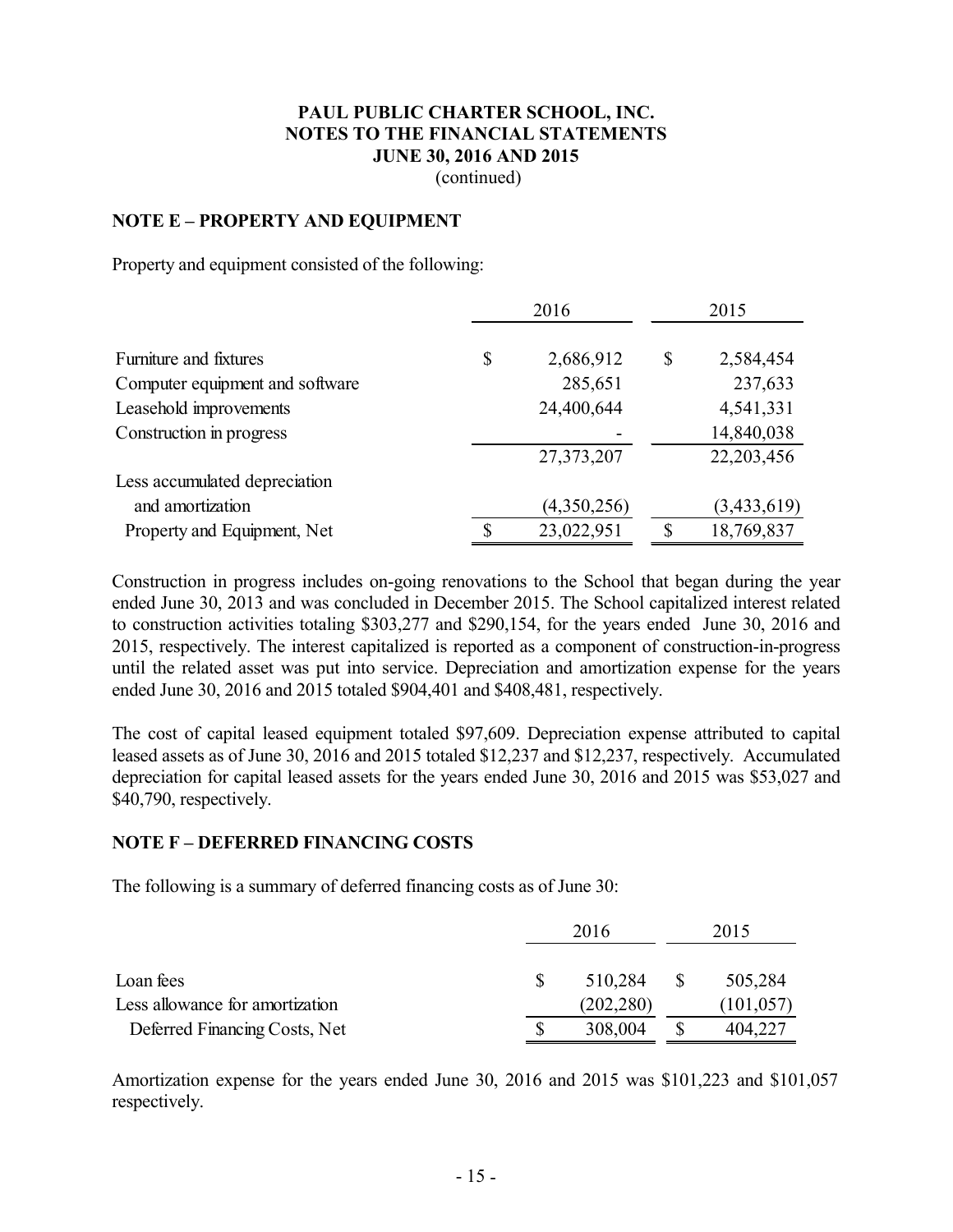(continued)

## **NOTE E – PROPERTY AND EQUIPMENT**

Property and equipment consisted of the following:

|                                 | 2016            | 2015 |             |  |
|---------------------------------|-----------------|------|-------------|--|
| Furniture and fixtures          | \$<br>2,686,912 | \$   | 2,584,454   |  |
| Computer equipment and software | 285,651         |      | 237,633     |  |
| Leasehold improvements          | 24,400,644      |      | 4,541,331   |  |
| Construction in progress        |                 |      | 14,840,038  |  |
|                                 | 27,373,207      |      | 22,203,456  |  |
| Less accumulated depreciation   |                 |      |             |  |
| and amortization                | (4,350,256)     |      | (3,433,619) |  |
| Property and Equipment, Net     | 23,022,951      |      | 18,769,837  |  |

Construction in progress includes on-going renovations to the School that began during the year ended June 30, 2013 and was concluded in December 2015. The School capitalized interest related to construction activities totaling \$303,277 and \$290,154, for the years ended June 30, 2016 and 2015, respectively. The interest capitalized is reported as a component of construction-in-progress until the related asset was put into service. Depreciation and amortization expense for the years ended June 30, 2016 and 2015 totaled \$904,401 and \$408,481, respectively.

The cost of capital leased equipment totaled \$97,609. Depreciation expense attributed to capital leased assets as of June 30, 2016 and 2015 totaled \$12,237 and \$12,237, respectively. Accumulated depreciation for capital leased assets for the years ended June 30, 2016 and 2015 was \$53,027 and \$40,790, respectively.

## **NOTE F – DEFERRED FINANCING COSTS**

The following is a summary of deferred financing costs as of June 30:

|                                 | 2016 |            |              | 2015       |
|---------------------------------|------|------------|--------------|------------|
| Loan fees                       |      | 510,284    | <sup>S</sup> | 505,284    |
| Less allowance for amortization |      | (202, 280) |              | (101, 057) |
| Deferred Financing Costs, Net   |      | 308,004    |              | 404,227    |

Amortization expense for the years ended June 30, 2016 and 2015 was \$101,223 and \$101,057 respectively.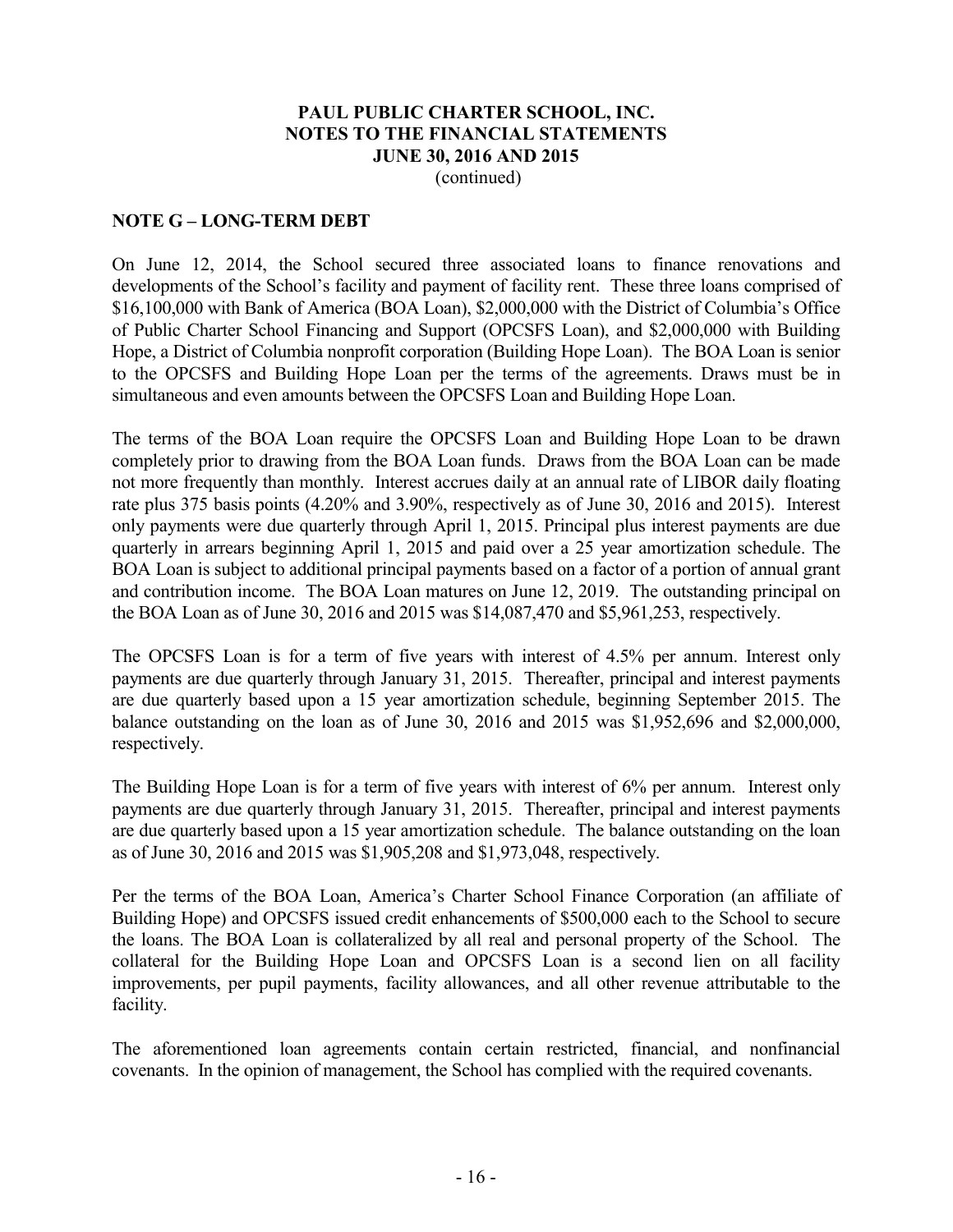(continued)

### **NOTE G – LONG-TERM DEBT**

On June 12, 2014, the School secured three associated loans to finance renovations and developments of the School's facility and payment of facility rent. These three loans comprised of \$16,100,000 with Bank of America (BOA Loan), \$2,000,000 with the District of Columbia's Office of Public Charter School Financing and Support (OPCSFS Loan), and \$2,000,000 with Building Hope, a District of Columbia nonprofit corporation (Building Hope Loan). The BOA Loan is senior to the OPCSFS and Building Hope Loan per the terms of the agreements. Draws must be in simultaneous and even amounts between the OPCSFS Loan and Building Hope Loan.

The terms of the BOA Loan require the OPCSFS Loan and Building Hope Loan to be drawn completely prior to drawing from the BOA Loan funds. Draws from the BOA Loan can be made not more frequently than monthly. Interest accrues daily at an annual rate of LIBOR daily floating rate plus 375 basis points (4.20% and 3.90%, respectively as of June 30, 2016 and 2015). Interest only payments were due quarterly through April 1, 2015. Principal plus interest payments are due quarterly in arrears beginning April 1, 2015 and paid over a 25 year amortization schedule. The BOA Loan is subject to additional principal payments based on a factor of a portion of annual grant and contribution income. The BOA Loan matures on June 12, 2019. The outstanding principal on the BOA Loan as of June 30, 2016 and 2015 was \$14,087,470 and \$5,961,253, respectively.

The OPCSFS Loan is for a term of five years with interest of 4.5% per annum. Interest only payments are due quarterly through January 31, 2015. Thereafter, principal and interest payments are due quarterly based upon a 15 year amortization schedule, beginning September 2015. The balance outstanding on the loan as of June 30, 2016 and 2015 was \$1,952,696 and \$2,000,000, respectively.

The Building Hope Loan is for a term of five years with interest of 6% per annum. Interest only payments are due quarterly through January 31, 2015. Thereafter, principal and interest payments are due quarterly based upon a 15 year amortization schedule. The balance outstanding on the loan as of June 30, 2016 and 2015 was \$1,905,208 and \$1,973,048, respectively.

Per the terms of the BOA Loan, America's Charter School Finance Corporation (an affiliate of Building Hope) and OPCSFS issued credit enhancements of \$500,000 each to the School to secure the loans. The BOA Loan is collateralized by all real and personal property of the School. The collateral for the Building Hope Loan and OPCSFS Loan is a second lien on all facility improvements, per pupil payments, facility allowances, and all other revenue attributable to the facility.

The aforementioned loan agreements contain certain restricted, financial, and nonfinancial covenants. In the opinion of management, the School has complied with the required covenants.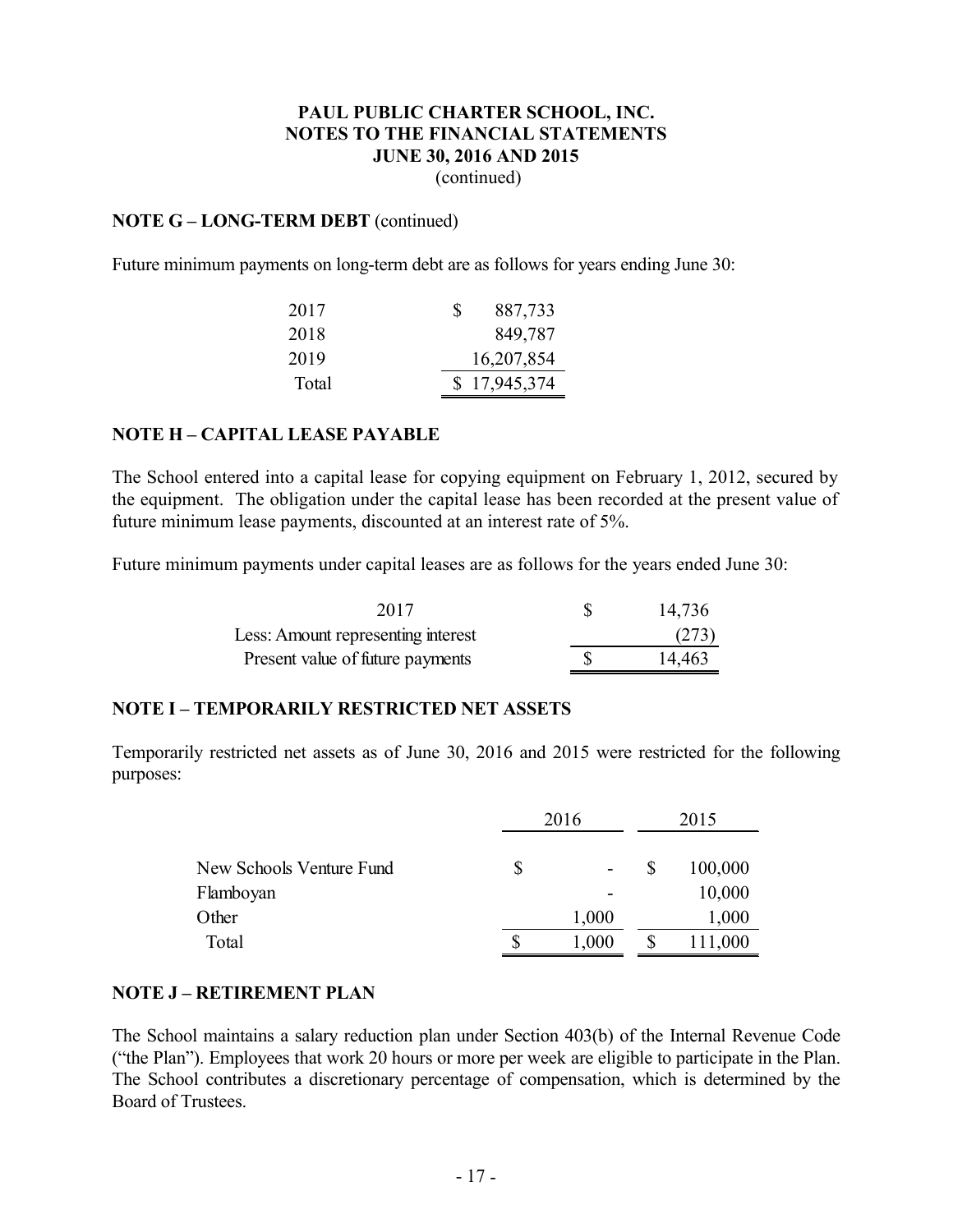(continued)

### **NOTE G – LONG-TERM DEBT** (continued)

Future minimum payments on long-term debt are as follows for years ending June 30:

| 2017  | S. | 887,733      |
|-------|----|--------------|
| 2018  |    | 849,787      |
| 2019  |    | 16,207,854   |
| Total |    | \$17,945,374 |

### **NOTE H – CAPITAL LEASE PAYABLE**

The School entered into a capital lease for copying equipment on February 1, 2012, secured by the equipment. The obligation under the capital lease has been recorded at the present value of future minimum lease payments, discounted at an interest rate of 5%.

Future minimum payments under capital leases are as follows for the years ended June 30:

| 2017                               | 14,736 |
|------------------------------------|--------|
| Less: Amount representing interest | (273)  |
| Present value of future payments   | 14,463 |

#### **NOTE I – TEMPORARILY RESTRICTED NET ASSETS**

Temporarily restricted net assets as of June 30, 2016 and 2015 were restricted for the following purposes:

|                          | 2016 |                          | 2015 |         |
|--------------------------|------|--------------------------|------|---------|
| New Schools Venture Fund | \$   | $\overline{\phantom{a}}$ |      | 100,000 |
| Flamboyan                |      |                          |      | 10,000  |
| Other                    |      | 1,000                    |      | 1,000   |
| Total                    | \$   | 1,000                    | Ÿ    | 111,000 |

#### **NOTE J – RETIREMENT PLAN**

The School maintains a salary reduction plan under Section 403(b) of the Internal Revenue Code ("the Plan"). Employees that work 20 hours or more per week are eligible to participate in the Plan. The School contributes a discretionary percentage of compensation, which is determined by the Board of Trustees.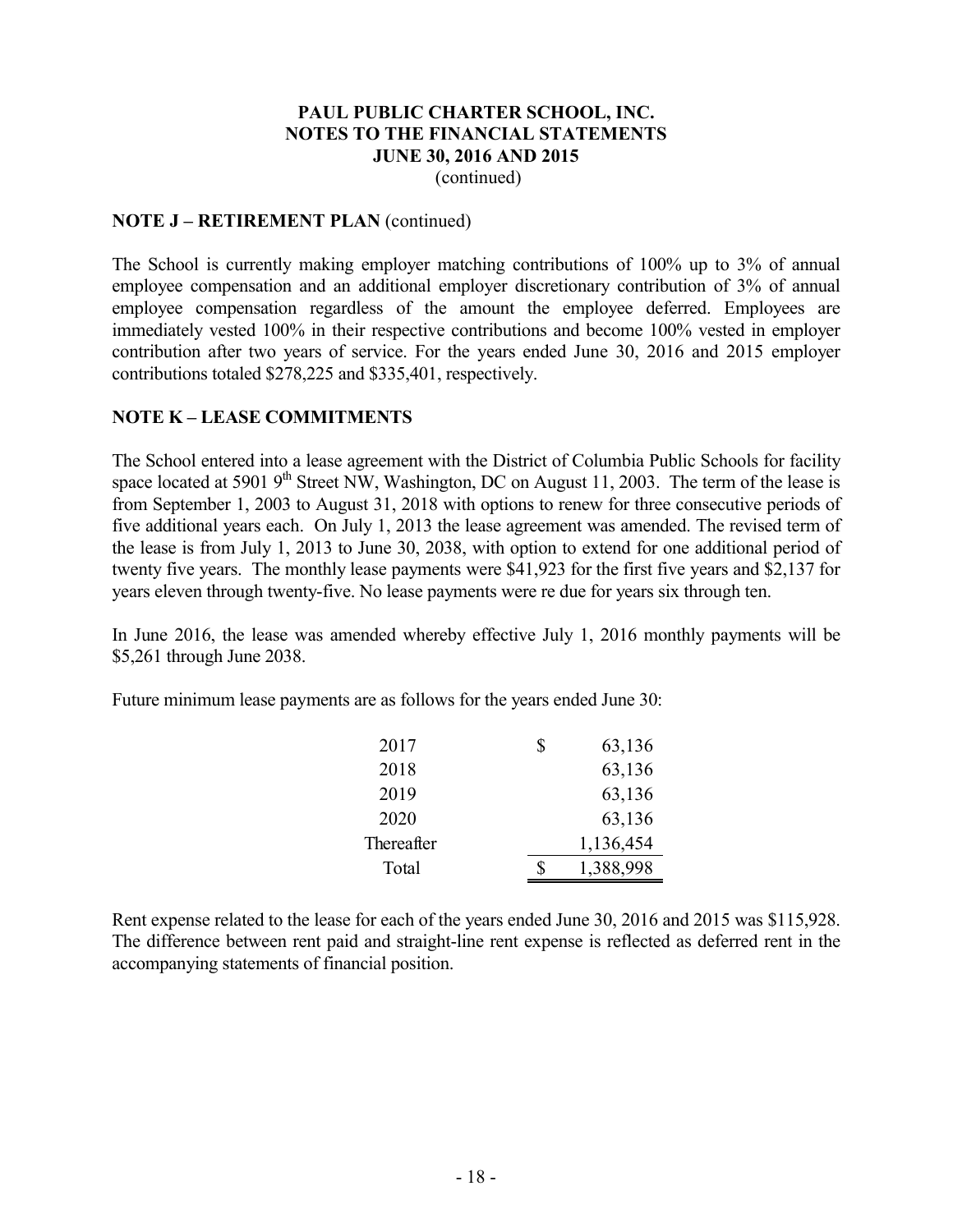(continued)

### **NOTE J – RETIREMENT PLAN** (continued)

The School is currently making employer matching contributions of 100% up to 3% of annual employee compensation and an additional employer discretionary contribution of 3% of annual employee compensation regardless of the amount the employee deferred. Employees are immediately vested 100% in their respective contributions and become 100% vested in employer contribution after two years of service. For the years ended June 30, 2016 and 2015 employer contributions totaled \$278,225 and \$335,401, respectively.

### **NOTE K – LEASE COMMITMENTS**

The School entered into a lease agreement with the District of Columbia Public Schools for facility space located at 5901  $9<sup>th</sup>$  Street NW, Washington, DC on August 11, 2003. The term of the lease is from September 1, 2003 to August 31, 2018 with options to renew for three consecutive periods of five additional years each. On July 1, 2013 the lease agreement was amended. The revised term of the lease is from July 1, 2013 to June 30, 2038, with option to extend for one additional period of twenty five years. The monthly lease payments were \$41,923 for the first five years and \$2,137 for years eleven through twenty-five. No lease payments were re due for years six through ten.

In June 2016, the lease was amended whereby effective July 1, 2016 monthly payments will be \$5,261 through June 2038.

Future minimum lease payments are as follows for the years ended June 30:

| 2017       | S  | 63,136    |
|------------|----|-----------|
| 2018       |    | 63,136    |
| 2019       |    | 63,136    |
| 2020       |    | 63,136    |
| Thereafter |    | 1,136,454 |
| Total      | \$ | 1,388,998 |

Rent expense related to the lease for each of the years ended June 30, 2016 and 2015 was \$115,928. The difference between rent paid and straight-line rent expense is reflected as deferred rent in the accompanying statements of financial position.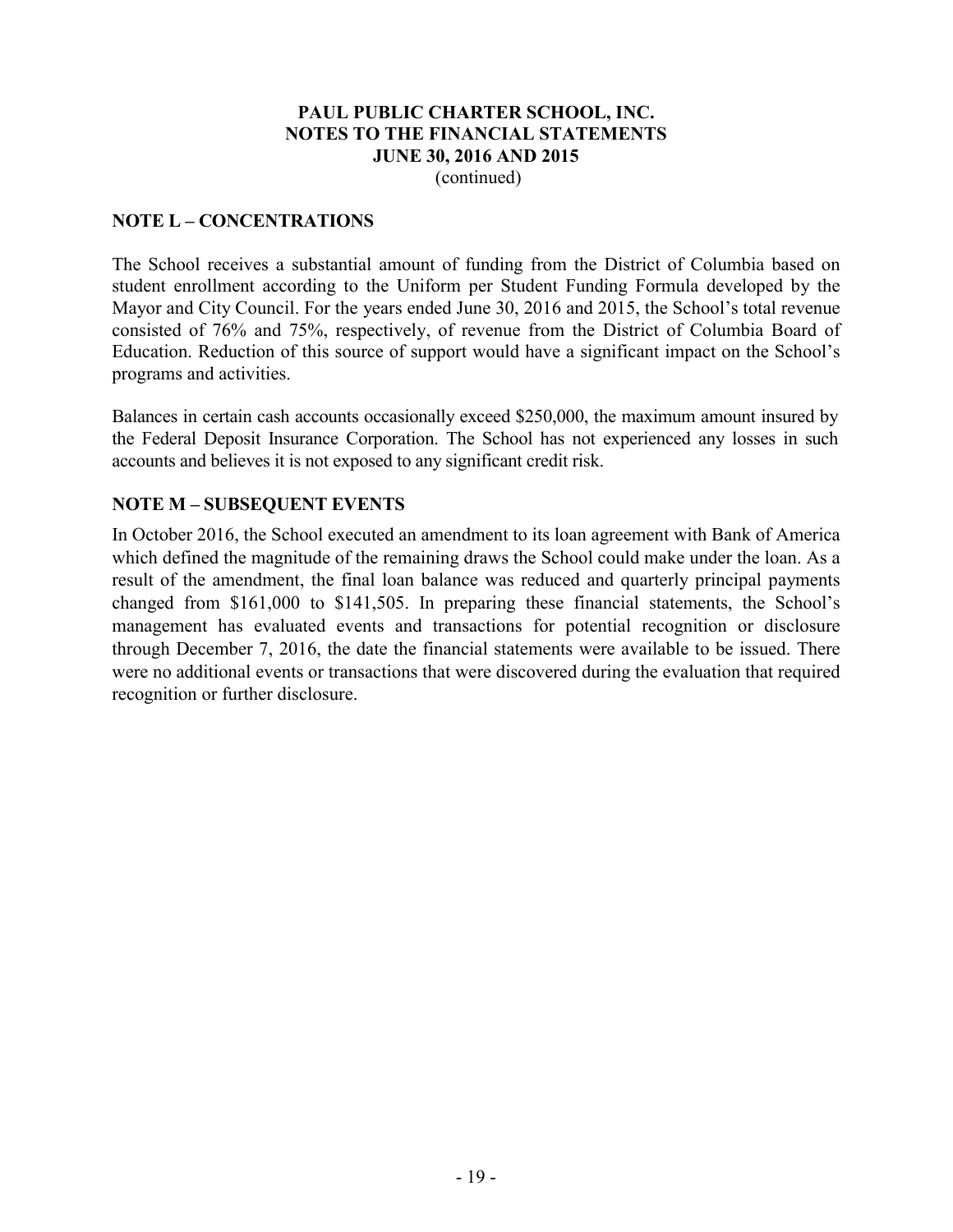(continued)

## **NOTE L – CONCENTRATIONS**

The School receives a substantial amount of funding from the District of Columbia based on student enrollment according to the Uniform per Student Funding Formula developed by the Mayor and City Council. For the years ended June 30, 2016 and 2015, the School's total revenue consisted of 76% and 75%, respectively, of revenue from the District of Columbia Board of Education. Reduction of this source of support would have a significant impact on the School's programs and activities.

Balances in certain cash accounts occasionally exceed \$250,000, the maximum amount insured by the Federal Deposit Insurance Corporation. The School has not experienced any losses in such accounts and believes it is not exposed to any significant credit risk.

## **NOTE M – SUBSEQUENT EVENTS**

In October 2016, the School executed an amendment to its loan agreement with Bank of America which defined the magnitude of the remaining draws the School could make under the loan. As a result of the amendment, the final loan balance was reduced and quarterly principal payments changed from \$161,000 to \$141,505. In preparing these financial statements, the School's management has evaluated events and transactions for potential recognition or disclosure through December 7, 2016, the date the financial statements were available to be issued. There were no additional events or transactions that were discovered during the evaluation that required recognition or further disclosure.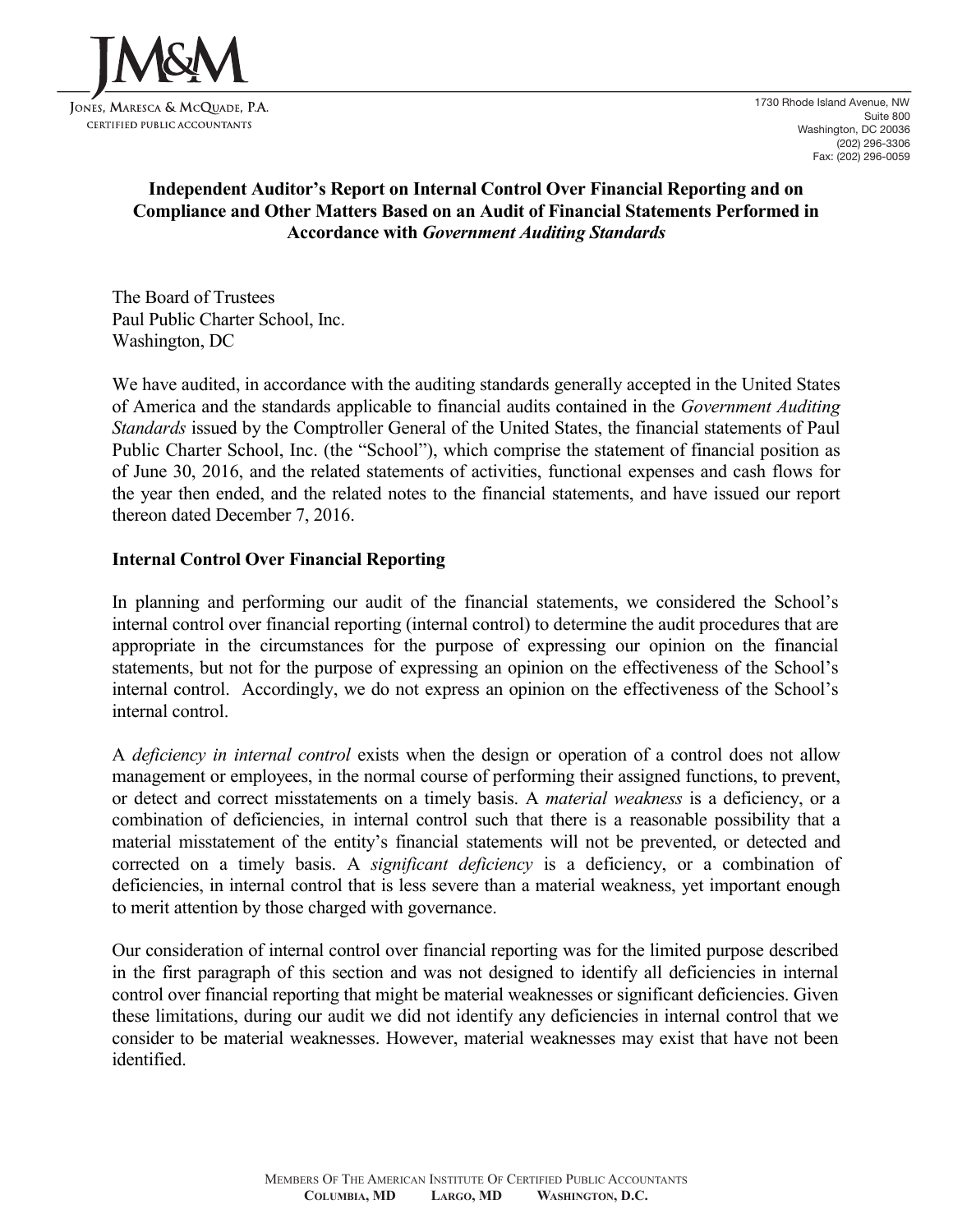

## **Independent Auditor's Report on Internal Control Over Financial Reporting and on Compliance and Other Matters Based on an Audit of Financial Statements Performed in Accordance with** *Government Auditing Standards*

The Board of Trustees Paul Public Charter School, Inc. Washington, DC

We have audited, in accordance with the auditing standards generally accepted in the United States of America and the standards applicable to financial audits contained in the *Government Auditing Standards* issued by the Comptroller General of the United States, the financial statements of Paul Public Charter School, Inc. (the "School"), which comprise the statement of financial position as of June 30, 2016, and the related statements of activities, functional expenses and cash flows for the year then ended, and the related notes to the financial statements, and have issued our report thereon dated December 7, 2016.

## **Internal Control Over Financial Reporting**

In planning and performing our audit of the financial statements, we considered the School's internal control over financial reporting (internal control) to determine the audit procedures that are appropriate in the circumstances for the purpose of expressing our opinion on the financial statements, but not for the purpose of expressing an opinion on the effectiveness of the School's internal control. Accordingly, we do not express an opinion on the effectiveness of the School's internal control.

A *deficiency in internal control* exists when the design or operation of a control does not allow management or employees, in the normal course of performing their assigned functions, to prevent, or detect and correct misstatements on a timely basis. A *material weakness* is a deficiency, or a combination of deficiencies, in internal control such that there is a reasonable possibility that a material misstatement of the entity's financial statements will not be prevented, or detected and corrected on a timely basis. A *significant deficiency* is a deficiency, or a combination of deficiencies, in internal control that is less severe than a material weakness, yet important enough to merit attention by those charged with governance.

Our consideration of internal control over financial reporting was for the limited purpose described in the first paragraph of this section and was not designed to identify all deficiencies in internal control over financial reporting that might be material weaknesses or significant deficiencies. Given these limitations, during our audit we did not identify any deficiencies in internal control that we consider to be material weaknesses. However, material weaknesses may exist that have not been identified.